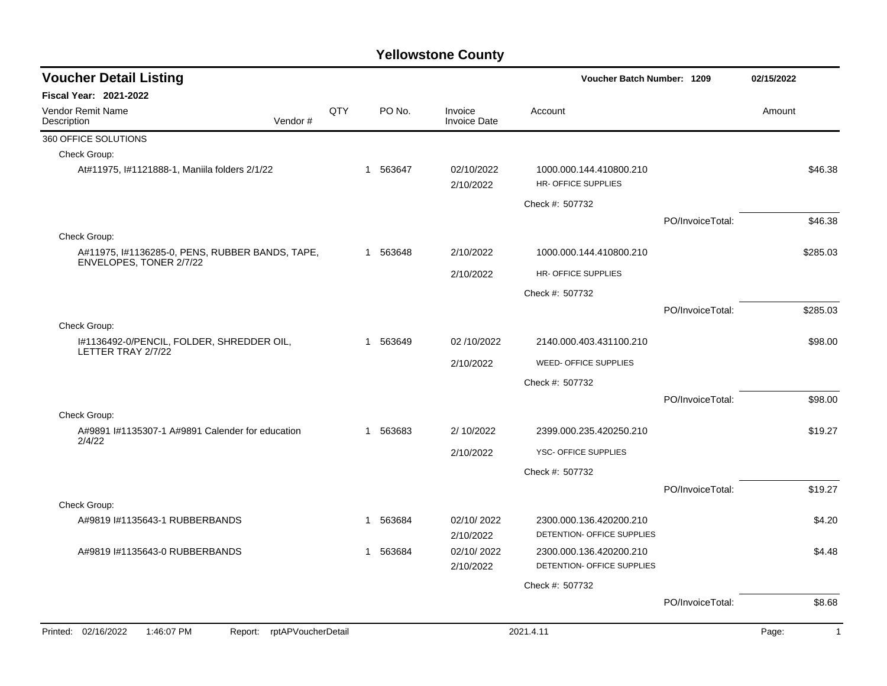| <b>Voucher Detail Listing</b>                                   |                                                                            |     |              |            |                                | Voucher Batch Number: 1209                            |                  | 02/15/2022              |
|-----------------------------------------------------------------|----------------------------------------------------------------------------|-----|--------------|------------|--------------------------------|-------------------------------------------------------|------------------|-------------------------|
| <b>Fiscal Year: 2021-2022</b>                                   |                                                                            |     |              |            |                                |                                                       |                  |                         |
| Vendor Remit Name<br>Description                                | Vendor#                                                                    | QTY |              | PO No.     | Invoice<br><b>Invoice Date</b> | Account                                               |                  | Amount                  |
| 360 OFFICE SOLUTIONS                                            |                                                                            |     |              |            |                                |                                                       |                  |                         |
| Check Group:                                                    |                                                                            |     |              |            |                                |                                                       |                  |                         |
| At#11975, I#1121888-1, Maniila folders 2/1/22                   |                                                                            |     | $\mathbf{1}$ | 563647     | 02/10/2022<br>2/10/2022        | 1000.000.144.410800.210<br>HR- OFFICE SUPPLIES        |                  | \$46.38                 |
|                                                                 |                                                                            |     |              |            |                                | Check #: 507732                                       |                  |                         |
|                                                                 |                                                                            |     |              |            |                                |                                                       | PO/InvoiceTotal: | \$46.38                 |
| Check Group:                                                    |                                                                            |     |              |            |                                |                                                       |                  |                         |
|                                                                 | A#11975, I#1136285-0, PENS, RUBBER BANDS, TAPE,<br>ENVELOPES, TONER 2/7/22 |     |              | 1 563648   | 2/10/2022                      | 1000.000.144.410800.210                               |                  | \$285.03                |
|                                                                 |                                                                            |     |              |            | 2/10/2022                      | HR- OFFICE SUPPLIES                                   |                  |                         |
|                                                                 |                                                                            |     |              |            |                                | Check #: 507732                                       |                  |                         |
|                                                                 |                                                                            |     |              |            |                                |                                                       | PO/InvoiceTotal: | \$285.03                |
| Check Group:                                                    |                                                                            |     |              |            |                                |                                                       |                  |                         |
| 1#1136492-0/PENCIL, FOLDER, SHREDDER OIL,<br>LETTER TRAY 2/7/22 |                                                                            | 1   | 563649       | 02/10/2022 | 2140.000.403.431100.210        |                                                       | \$98.00          |                         |
|                                                                 |                                                                            |     |              | 2/10/2022  | WEED- OFFICE SUPPLIES          |                                                       |                  |                         |
|                                                                 |                                                                            |     |              |            |                                | Check #: 507732                                       |                  |                         |
|                                                                 |                                                                            |     |              |            |                                |                                                       | PO/InvoiceTotal: | \$98.00                 |
| Check Group:                                                    |                                                                            |     |              |            |                                |                                                       |                  |                         |
| A#9891 I#1135307-1 A#9891 Calender for education                |                                                                            |     | $\mathbf{1}$ | 563683     | 2/10/2022                      | 2399.000.235.420250.210                               |                  | \$19.27                 |
| 2/4/22                                                          |                                                                            |     |              |            | 2/10/2022                      | YSC- OFFICE SUPPLIES                                  |                  |                         |
|                                                                 |                                                                            |     |              |            |                                | Check #: 507732                                       |                  |                         |
|                                                                 |                                                                            |     |              |            |                                |                                                       | PO/InvoiceTotal: | \$19.27                 |
| Check Group:                                                    |                                                                            |     |              |            |                                |                                                       |                  |                         |
| A#9819 I#1135643-1 RUBBERBANDS                                  |                                                                            |     | 1            | 563684     | 02/10/2022<br>2/10/2022        | 2300.000.136.420200.210<br>DETENTION- OFFICE SUPPLIES |                  | \$4.20                  |
| A#9819 #1135643-0 RUBBERBANDS                                   |                                                                            |     | $\mathbf 1$  | 563684     | 02/10/2022<br>2/10/2022        | 2300.000.136.420200.210<br>DETENTION- OFFICE SUPPLIES |                  | \$4.48                  |
|                                                                 |                                                                            |     |              |            |                                | Check #: 507732                                       |                  |                         |
|                                                                 |                                                                            |     |              |            |                                |                                                       | PO/InvoiceTotal: | \$8.68                  |
|                                                                 |                                                                            |     |              |            |                                |                                                       |                  |                         |
| Printed: 02/16/2022<br>1:46:07 PM                               | rptAPVoucherDetail<br>Report:                                              |     |              |            |                                | 2021.4.11                                             |                  | Page:<br>$\overline{1}$ |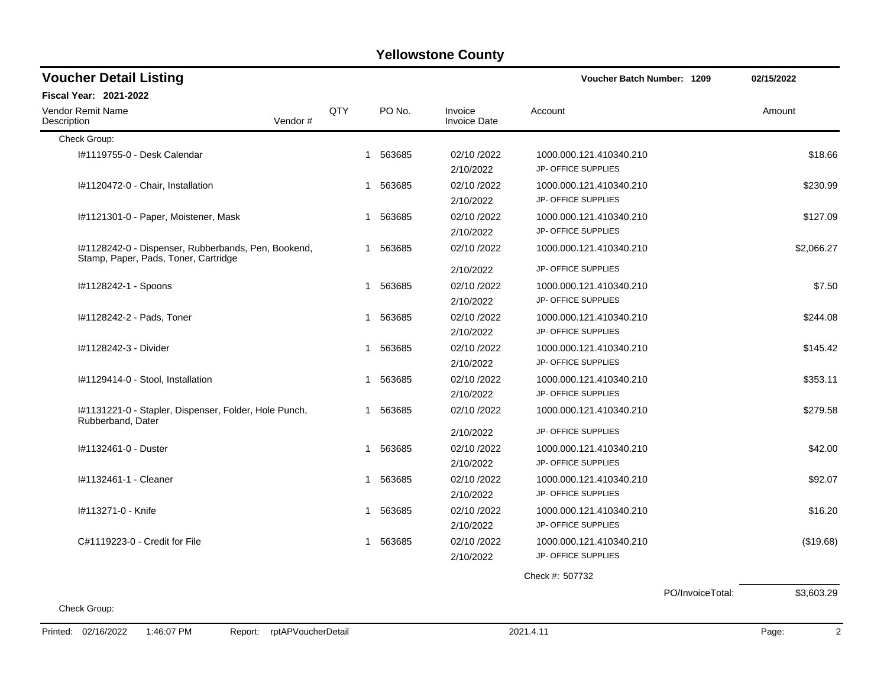| <b>Voucher Detail Listing</b>                                                               |            |        |                                       | Voucher Batch Number: 1209                                            |                  | 02/15/2022              |
|---------------------------------------------------------------------------------------------|------------|--------|---------------------------------------|-----------------------------------------------------------------------|------------------|-------------------------|
| <b>Fiscal Year: 2021-2022</b>                                                               |            |        |                                       |                                                                       |                  |                         |
| <b>Vendor Remit Name</b><br>Description<br>Vendor#                                          | <b>QTY</b> | PO No. | Invoice<br><b>Invoice Date</b>        | Account                                                               |                  | Amount                  |
| Check Group:                                                                                |            |        |                                       |                                                                       |                  |                         |
| I#1119755-0 - Desk Calendar                                                                 | 1          | 563685 | 02/10 /2022<br>2/10/2022              | 1000.000.121.410340.210<br>JP- OFFICE SUPPLIES                        |                  | \$18.66                 |
| I#1120472-0 - Chair, Installation                                                           | 1          | 563685 | 02/10 /2022<br>2/10/2022              | 1000.000.121.410340.210<br>JP- OFFICE SUPPLIES                        |                  | \$230.99                |
| I#1121301-0 - Paper, Moistener, Mask                                                        | 1          | 563685 | 02/10 /2022<br>2/10/2022              | 1000.000.121.410340.210<br>JP- OFFICE SUPPLIES                        |                  | \$127.09                |
| I#1128242-0 - Dispenser, Rubberbands, Pen, Bookend,<br>Stamp, Paper, Pads, Toner, Cartridge | 1          | 563685 | 02/10 /2022                           | 1000.000.121.410340.210                                               |                  | \$2,066.27              |
|                                                                                             |            |        | 2/10/2022                             | JP- OFFICE SUPPLIES                                                   |                  |                         |
| I#1128242-1 - Spoons                                                                        | 1          | 563685 | 02/10/2022<br>2/10/2022               | 1000.000.121.410340.210<br>JP- OFFICE SUPPLIES                        |                  | \$7.50                  |
| I#1128242-2 - Pads, Toner                                                                   | 1          | 563685 | 02/10/2022<br>2/10/2022               | 1000.000.121.410340.210<br><b>JP- OFFICE SUPPLIES</b>                 |                  | \$244.08                |
| I#1128242-3 - Divider                                                                       | 1          | 563685 | 02/10 /2022<br>2/10/2022              | 1000.000.121.410340.210<br>JP- OFFICE SUPPLIES                        |                  | \$145.42                |
| I#1129414-0 - Stool, Installation                                                           | 1          | 563685 | 02/10 /2022<br>2/10/2022              | 1000.000.121.410340.210<br>JP- OFFICE SUPPLIES                        |                  | \$353.11                |
| I#1131221-0 - Stapler, Dispenser, Folder, Hole Punch,<br>Rubberband, Dater                  | 1          | 563685 | 02/10 /2022                           | 1000.000.121.410340.210                                               |                  | \$279.58                |
| #1132461-0 - Duster                                                                         | 1          | 563685 | 2/10/2022<br>02/10 /2022<br>2/10/2022 | JP- OFFICE SUPPLIES<br>1000.000.121.410340.210<br>JP- OFFICE SUPPLIES |                  | \$42.00                 |
| #1132461-1 - Cleaner                                                                        | 1          | 563685 | 02/10 /2022<br>2/10/2022              | 1000.000.121.410340.210<br>JP- OFFICE SUPPLIES                        |                  | \$92.07                 |
| I#113271-0 - Knife                                                                          | 1          | 563685 | 02/10 /2022<br>2/10/2022              | 1000.000.121.410340.210<br><b>JP- OFFICE SUPPLIES</b>                 |                  | \$16.20                 |
| C#1119223-0 - Credit for File                                                               | 1          | 563685 | 02/10/2022<br>2/10/2022               | 1000.000.121.410340.210<br>JP- OFFICE SUPPLIES                        |                  | (\$19.68)               |
|                                                                                             |            |        |                                       | Check #: 507732                                                       |                  |                         |
| Check Group:                                                                                |            |        |                                       |                                                                       | PO/InvoiceTotal: | \$3,603.29              |
| 1:46:07 PM<br>Report: rptAPVoucherDetail<br>Printed: 02/16/2022                             |            |        |                                       | 2021.4.11                                                             |                  | $\overline{2}$<br>Page: |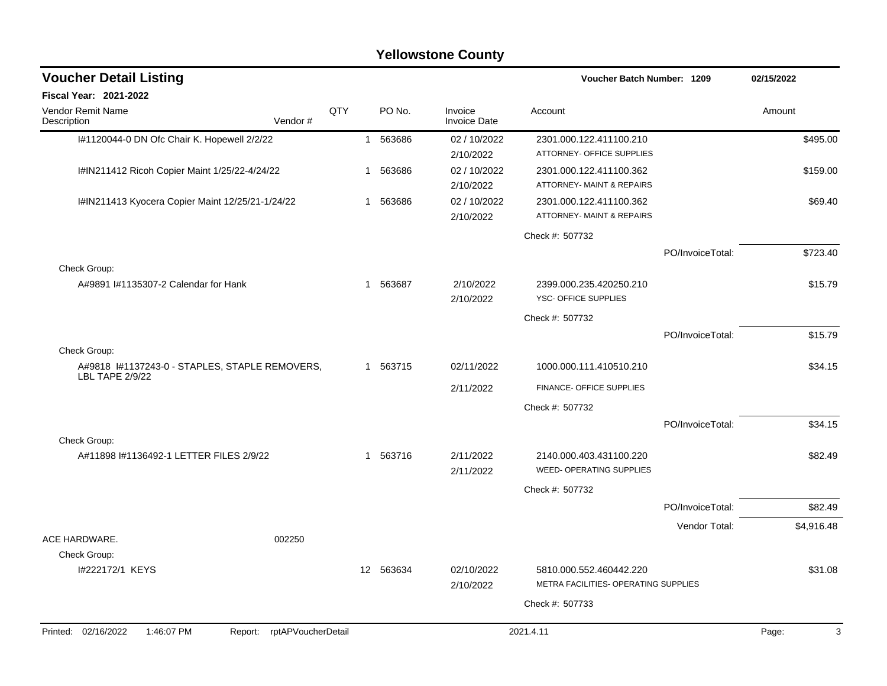| <b>Voucher Detail Listing</b>                                            |                    |     |              |           |                                |                                                                 | Voucher Batch Number: 1209 |            |  |
|--------------------------------------------------------------------------|--------------------|-----|--------------|-----------|--------------------------------|-----------------------------------------------------------------|----------------------------|------------|--|
| <b>Fiscal Year: 2021-2022</b>                                            |                    |     |              |           |                                |                                                                 |                            |            |  |
| <b>Vendor Remit Name</b><br>Description                                  | Vendor#            | QTY |              | PO No.    | Invoice<br><b>Invoice Date</b> | Account                                                         |                            | Amount     |  |
| I#1120044-0 DN Ofc Chair K. Hopewell 2/2/22                              |                    |     |              | 1 563686  | 02 / 10/2022<br>2/10/2022      | 2301.000.122.411100.210<br>ATTORNEY- OFFICE SUPPLIES            |                            | \$495.00   |  |
| I#IN211412 Ricoh Copier Maint 1/25/22-4/24/22                            |                    |     | 1            | 563686    | 02 / 10/2022<br>2/10/2022      | 2301.000.122.411100.362<br>ATTORNEY- MAINT & REPAIRS            |                            | \$159.00   |  |
| I#IN211413 Kyocera Copier Maint 12/25/21-1/24/22                         |                    |     | 1            | 563686    | 02 / 10/2022<br>2/10/2022      | 2301.000.122.411100.362<br>ATTORNEY- MAINT & REPAIRS            |                            | \$69.40    |  |
|                                                                          |                    |     |              |           |                                | Check #: 507732                                                 |                            |            |  |
|                                                                          |                    |     |              |           |                                |                                                                 | PO/InvoiceTotal:           | \$723.40   |  |
| Check Group:<br>A#9891 I#1135307-2 Calendar for Hank                     |                    |     | 1            | 563687    | 2/10/2022                      | 2399.000.235.420250.210                                         |                            | \$15.79    |  |
|                                                                          |                    |     |              |           | 2/10/2022                      | YSC- OFFICE SUPPLIES                                            |                            |            |  |
|                                                                          |                    |     |              |           |                                | Check #: 507732                                                 |                            |            |  |
|                                                                          |                    |     |              |           |                                |                                                                 | PO/InvoiceTotal:           | \$15.79    |  |
| Check Group:                                                             |                    |     |              |           |                                |                                                                 |                            |            |  |
| A#9818 I#1137243-0 - STAPLES, STAPLE REMOVERS,<br><b>LBL TAPE 2/9/22</b> |                    |     |              | 1 563715  | 02/11/2022                     | 1000.000.111.410510.210                                         |                            | \$34.15    |  |
|                                                                          |                    |     |              |           | 2/11/2022                      | FINANCE- OFFICE SUPPLIES                                        |                            |            |  |
|                                                                          |                    |     |              |           |                                | Check #: 507732                                                 |                            |            |  |
|                                                                          |                    |     |              |           |                                |                                                                 | PO/InvoiceTotal:           | \$34.15    |  |
| Check Group:<br>A#11898 I#1136492-1 LETTER FILES 2/9/22                  |                    |     | $\mathbf{1}$ | 563716    | 2/11/2022<br>2/11/2022         | 2140.000.403.431100.220<br>WEED- OPERATING SUPPLIES             |                            | \$82.49    |  |
|                                                                          |                    |     |              |           |                                | Check #: 507732                                                 |                            |            |  |
|                                                                          |                    |     |              |           |                                |                                                                 | PO/InvoiceTotal:           | \$82.49    |  |
|                                                                          |                    |     |              |           |                                |                                                                 | Vendor Total:              | \$4,916.48 |  |
| ACE HARDWARE.                                                            | 002250             |     |              |           |                                |                                                                 |                            |            |  |
| Check Group:                                                             |                    |     |              |           |                                |                                                                 |                            |            |  |
| I#222172/1 KEYS                                                          |                    |     |              | 12 563634 | 02/10/2022<br>2/10/2022        | 5810.000.552.460442.220<br>METRA FACILITIES- OPERATING SUPPLIES |                            | \$31.08    |  |
|                                                                          |                    |     |              |           |                                | Check #: 507733                                                 |                            |            |  |
|                                                                          |                    |     |              |           |                                |                                                                 |                            |            |  |
| Printed: 02/16/2022<br>1:46:07 PM<br>Report:                             | rptAPVoucherDetail |     |              |           |                                | 2021.4.11                                                       |                            | 3<br>Page: |  |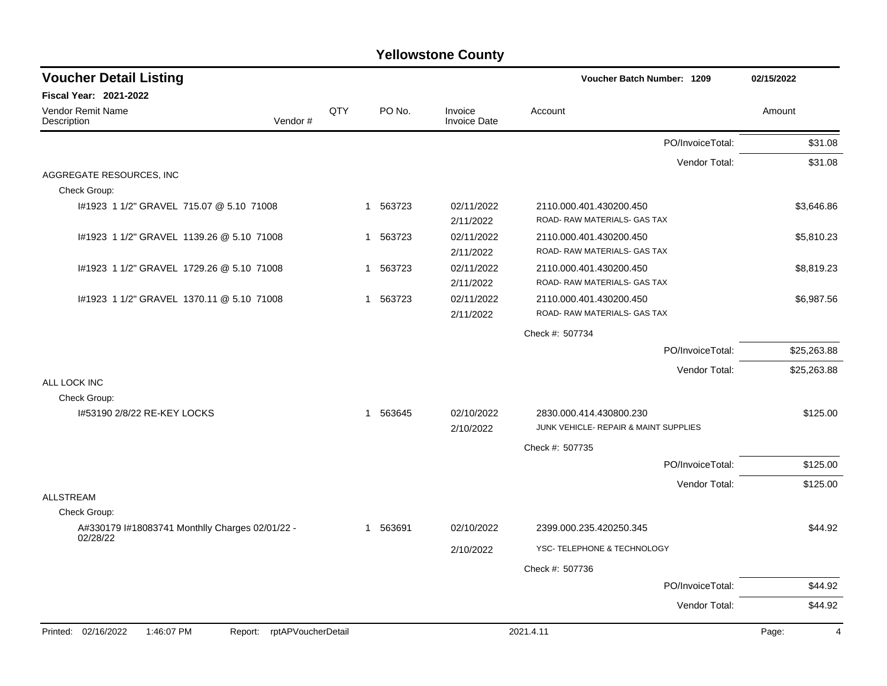| <b>Voucher Detail Listing</b>                                      |     |          |                                | Voucher Batch Number: 1209                              | 02/15/2022              |
|--------------------------------------------------------------------|-----|----------|--------------------------------|---------------------------------------------------------|-------------------------|
| Fiscal Year: 2021-2022                                             |     |          |                                |                                                         |                         |
| Vendor Remit Name<br>Vendor#<br>Description                        | QTY | PO No.   | Invoice<br><b>Invoice Date</b> | Account                                                 | Amount                  |
|                                                                    |     |          |                                | PO/InvoiceTotal:                                        | \$31.08                 |
|                                                                    |     |          |                                | Vendor Total:                                           | \$31.08                 |
| AGGREGATE RESOURCES, INC<br>Check Group:                           |     |          |                                |                                                         |                         |
| #1923 1 1/2" GRAVEL 715.07 @ 5.10 71008                            | 1   | 563723   | 02/11/2022<br>2/11/2022        | 2110.000.401.430200.450<br>ROAD- RAW MATERIALS- GAS TAX | \$3,646.86              |
| I#1923 1 1/2" GRAVEL 1139.26 @ 5.10 71008                          | 1   | 563723   | 02/11/2022<br>2/11/2022        | 2110.000.401.430200.450<br>ROAD- RAW MATERIALS- GAS TAX | \$5,810.23              |
| #1923 1 1/2" GRAVEL 1729.26 @ 5.10 71008                           | 1   | 563723   | 02/11/2022<br>2/11/2022        | 2110.000.401.430200.450<br>ROAD- RAW MATERIALS- GAS TAX | \$8,819.23              |
| #1923 1 1/2" GRAVEL 1370.11 @ 5.10 71008                           |     | 1 563723 | 02/11/2022<br>2/11/2022        | 2110.000.401.430200.450<br>ROAD- RAW MATERIALS- GAS TAX | \$6,987.56              |
|                                                                    |     |          |                                | Check #: 507734                                         |                         |
|                                                                    |     |          |                                | PO/InvoiceTotal:                                        | \$25,263.88             |
|                                                                    |     |          |                                | Vendor Total:                                           | \$25,263.88             |
| ALL LOCK INC<br>Check Group:                                       |     |          |                                |                                                         |                         |
| 1#53190 2/8/22 RE-KEY LOCKS                                        |     | 1 563645 | 02/10/2022                     | 2830.000.414.430800.230                                 | \$125.00                |
|                                                                    |     |          | 2/10/2022                      | JUNK VEHICLE- REPAIR & MAINT SUPPLIES                   |                         |
|                                                                    |     |          |                                | Check #: 507735                                         |                         |
|                                                                    |     |          |                                | PO/InvoiceTotal:                                        | \$125.00                |
|                                                                    |     |          |                                | Vendor Total:                                           | \$125.00                |
| <b>ALLSTREAM</b><br>Check Group:                                   |     |          |                                |                                                         |                         |
| A#330179 I#18083741 Monthlly Charges 02/01/22 -                    |     | 1 563691 | 02/10/2022                     | 2399.000.235.420250.345                                 | \$44.92                 |
| 02/28/22                                                           |     |          | 2/10/2022                      | YSC- TELEPHONE & TECHNOLOGY                             |                         |
|                                                                    |     |          |                                | Check #: 507736                                         |                         |
|                                                                    |     |          |                                | PO/InvoiceTotal:                                        | \$44.92                 |
|                                                                    |     |          |                                | Vendor Total:                                           | \$44.92                 |
| Printed: 02/16/2022<br>1:46:07 PM<br>rptAPVoucherDetail<br>Report: |     |          |                                | 2021.4.11                                               | Page:<br>$\overline{4}$ |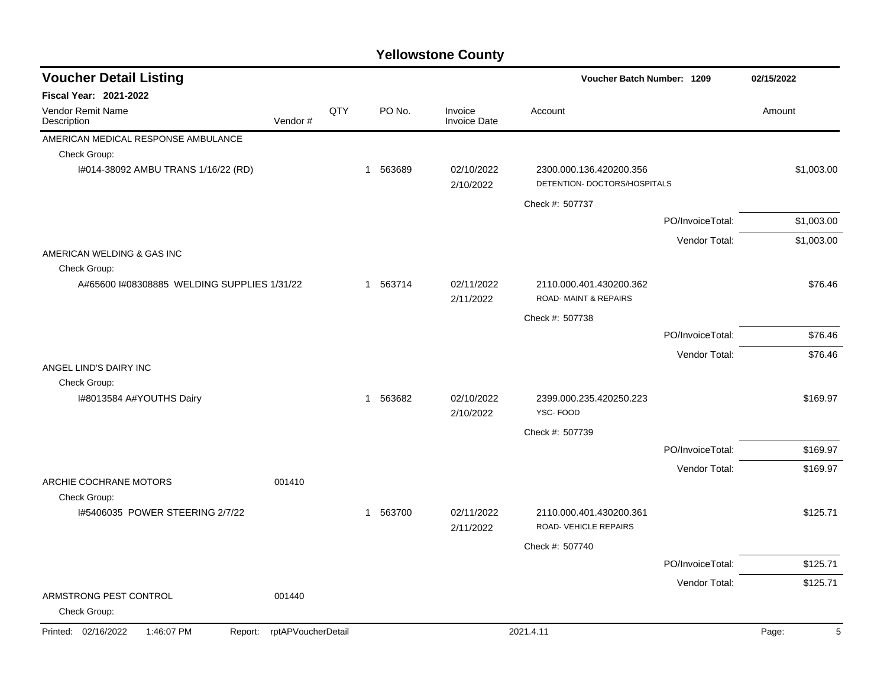| <b>Voucher Detail Listing</b><br>Voucher Batch Number: 1209 |                    | 02/15/2022 |          |                                |                                                            |                  |            |
|-------------------------------------------------------------|--------------------|------------|----------|--------------------------------|------------------------------------------------------------|------------------|------------|
| Fiscal Year: 2021-2022                                      |                    |            |          |                                |                                                            |                  |            |
| Vendor Remit Name<br>Description                            | Vendor#            | QTY        | PO No.   | Invoice<br><b>Invoice Date</b> | Account                                                    |                  | Amount     |
| AMERICAN MEDICAL RESPONSE AMBULANCE                         |                    |            |          |                                |                                                            |                  |            |
| Check Group:                                                |                    |            |          |                                |                                                            |                  |            |
| I#014-38092 AMBU TRANS 1/16/22 (RD)                         |                    |            | 1 563689 | 02/10/2022<br>2/10/2022        | 2300.000.136.420200.356<br>DETENTION- DOCTORS/HOSPITALS    |                  | \$1,003.00 |
|                                                             |                    |            |          |                                | Check #: 507737                                            |                  |            |
|                                                             |                    |            |          |                                |                                                            | PO/InvoiceTotal: | \$1,003.00 |
|                                                             |                    |            |          |                                |                                                            | Vendor Total:    | \$1,003.00 |
| AMERICAN WELDING & GAS INC<br>Check Group:                  |                    |            |          |                                |                                                            |                  |            |
| A#65600 I#08308885 WELDING SUPPLIES 1/31/22                 |                    |            | 1 563714 | 02/11/2022<br>2/11/2022        | 2110.000.401.430200.362<br><b>ROAD-MAINT &amp; REPAIRS</b> |                  | \$76.46    |
|                                                             |                    |            |          |                                | Check #: 507738                                            |                  |            |
|                                                             |                    |            |          |                                |                                                            | PO/InvoiceTotal: | \$76.46    |
|                                                             |                    |            |          |                                |                                                            | Vendor Total:    | \$76.46    |
| ANGEL LIND'S DAIRY INC                                      |                    |            |          |                                |                                                            |                  |            |
| Check Group:                                                |                    |            |          |                                |                                                            |                  |            |
| I#8013584 A#YOUTHS Dairy                                    |                    |            | 1 563682 | 02/10/2022<br>2/10/2022        | 2399.000.235.420250.223<br>YSC-FOOD                        |                  | \$169.97   |
|                                                             |                    |            |          |                                | Check #: 507739                                            |                  |            |
|                                                             |                    |            |          |                                |                                                            | PO/InvoiceTotal: | \$169.97   |
|                                                             |                    |            |          |                                |                                                            | Vendor Total:    | \$169.97   |
| ARCHIE COCHRANE MOTORS                                      | 001410             |            |          |                                |                                                            |                  |            |
| Check Group:<br>I#5406035 POWER STEERING 2/7/22             |                    |            | 1 563700 | 02/11/2022                     | 2110.000.401.430200.361                                    |                  | \$125.71   |
|                                                             |                    |            |          | 2/11/2022                      | ROAD-VEHICLE REPAIRS                                       |                  |            |
|                                                             |                    |            |          |                                | Check #: 507740                                            |                  |            |
|                                                             |                    |            |          |                                |                                                            | PO/InvoiceTotal: | \$125.71   |
|                                                             |                    |            |          |                                |                                                            | Vendor Total:    | \$125.71   |
| ARMSTRONG PEST CONTROL<br>Check Group:                      | 001440             |            |          |                                |                                                            |                  |            |
| Printed: 02/16/2022<br>1:46:07 PM<br>Report:                | rptAPVoucherDetail |            |          |                                | 2021.4.11                                                  |                  | Page:<br>5 |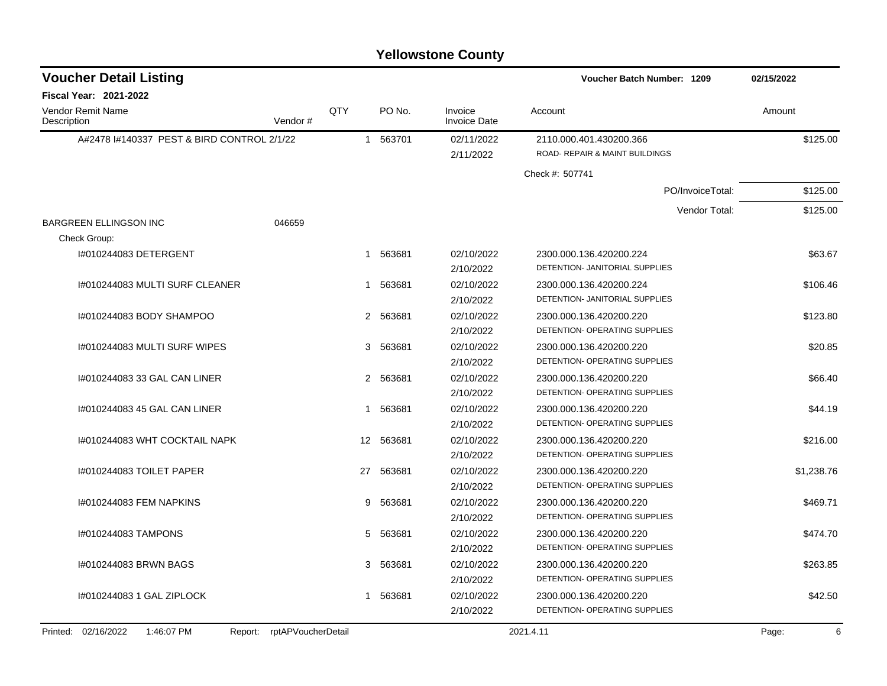| <b>Voucher Detail Listing</b>              |                               |                 |          |                                | Voucher Batch Number: 1209     | 02/15/2022 |
|--------------------------------------------|-------------------------------|-----------------|----------|--------------------------------|--------------------------------|------------|
| <b>Fiscal Year: 2021-2022</b>              |                               |                 |          |                                |                                |            |
| <b>Vendor Remit Name</b><br>Description    | Vendor #                      | QTY             | PO No.   | Invoice<br><b>Invoice Date</b> | Account                        | Amount     |
| A#2478 1#140337 PEST & BIRD CONTROL 2/1/22 |                               |                 | 1 563701 | 02/11/2022                     | 2110.000.401.430200.366        | \$125.00   |
|                                            |                               |                 |          | 2/11/2022                      | ROAD- REPAIR & MAINT BUILDINGS |            |
|                                            |                               |                 |          |                                | Check #: 507741                |            |
|                                            |                               |                 |          |                                | PO/InvoiceTotal:               | \$125.00   |
|                                            |                               |                 |          |                                | Vendor Total:                  | \$125.00   |
| <b>BARGREEN ELLINGSON INC</b>              | 046659                        |                 |          |                                |                                |            |
| Check Group:                               |                               |                 |          |                                |                                |            |
| I#010244083 DETERGENT                      |                               |                 | 1 563681 | 02/10/2022                     | 2300.000.136.420200.224        | \$63.67    |
|                                            |                               |                 |          | 2/10/2022                      | DETENTION- JANITORIAL SUPPLIES |            |
| I#010244083 MULTI SURF CLEANER             |                               | 1               | 563681   | 02/10/2022                     | 2300.000.136.420200.224        | \$106.46   |
|                                            |                               |                 |          | 2/10/2022                      | DETENTION- JANITORIAL SUPPLIES |            |
| I#010244083 BODY SHAMPOO                   |                               |                 | 2 563681 | 02/10/2022                     | 2300.000.136.420200.220        | \$123.80   |
|                                            |                               |                 |          | 2/10/2022                      | DETENTION- OPERATING SUPPLIES  |            |
| I#010244083 MULTI SURF WIPES               |                               | 3               | 563681   | 02/10/2022                     | 2300.000.136.420200.220        | \$20.85    |
|                                            |                               |                 |          | 2/10/2022                      | DETENTION- OPERATING SUPPLIES  |            |
| 1#010244083 33 GAL CAN LINER               |                               |                 | 2 563681 | 02/10/2022                     | 2300.000.136.420200.220        | \$66.40    |
|                                            |                               |                 |          | 2/10/2022                      | DETENTION- OPERATING SUPPLIES  |            |
| I#010244083 45 GAL CAN LINER               |                               | 1               | 563681   | 02/10/2022                     | 2300.000.136.420200.220        | \$44.19    |
|                                            |                               |                 |          | 2/10/2022                      | DETENTION- OPERATING SUPPLIES  |            |
| I#010244083 WHT COCKTAIL NAPK              |                               | 12 <sup>2</sup> | 563681   | 02/10/2022                     | 2300.000.136.420200.220        | \$216.00   |
|                                            |                               |                 |          | 2/10/2022                      | DETENTION- OPERATING SUPPLIES  |            |
| 1#010244083 TOILET PAPER                   |                               | 27              | 563681   | 02/10/2022                     | 2300.000.136.420200.220        | \$1,238.76 |
|                                            |                               |                 |          | 2/10/2022                      | DETENTION- OPERATING SUPPLIES  |            |
| I#010244083 FEM NAPKINS                    |                               | 9               | 563681   | 02/10/2022                     | 2300.000.136.420200.220        | \$469.71   |
|                                            |                               |                 |          | 2/10/2022                      | DETENTION- OPERATING SUPPLIES  |            |
| I#010244083 TAMPONS                        |                               | 5               | 563681   | 02/10/2022                     | 2300.000.136.420200.220        | \$474.70   |
|                                            |                               |                 |          | 2/10/2022                      | DETENTION- OPERATING SUPPLIES  |            |
| #010244083 BRWN BAGS                       |                               | 3               | 563681   | 02/10/2022                     | 2300.000.136.420200.220        | \$263.85   |
|                                            |                               |                 |          | 2/10/2022                      | DETENTION- OPERATING SUPPLIES  |            |
| I#010244083 1 GAL ZIPLOCK                  |                               | 1               | 563681   | 02/10/2022                     | 2300.000.136.420200.220        | \$42.50    |
|                                            |                               |                 |          | 2/10/2022                      | DETENTION- OPERATING SUPPLIES  |            |
| Printed: 02/16/2022<br>1:46:07 PM          | rptAPVoucherDetail<br>Report: |                 |          |                                | 2021.4.11                      | 6<br>Page: |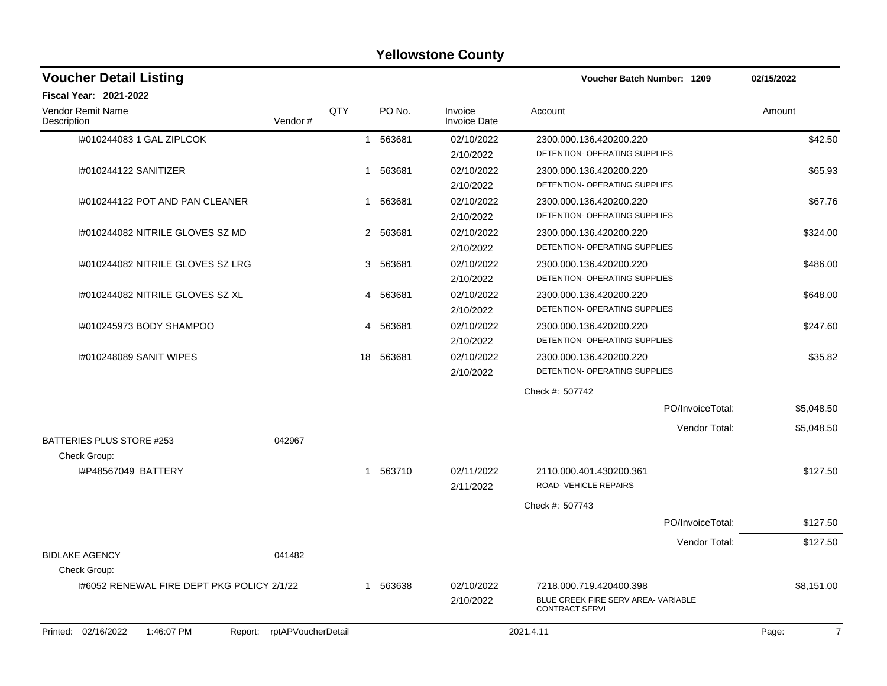| <b>Voucher Detail Listing</b><br>Voucher Batch Number: 1209 |                    | 02/15/2022 |                        |                                |                                                              |                  |                         |
|-------------------------------------------------------------|--------------------|------------|------------------------|--------------------------------|--------------------------------------------------------------|------------------|-------------------------|
| <b>Fiscal Year: 2021-2022</b>                               |                    |            |                        |                                |                                                              |                  |                         |
| Vendor Remit Name<br>Description                            | Vendor#            | QTY        | PO No.                 | Invoice<br><b>Invoice Date</b> | Account                                                      |                  | Amount                  |
| I#010244083 1 GAL ZIPLCOK                                   |                    |            | 1 563681               | 02/10/2022                     | 2300.000.136.420200.220                                      |                  | \$42.50                 |
|                                                             |                    |            |                        | 2/10/2022                      | DETENTION- OPERATING SUPPLIES                                |                  |                         |
| I#010244122 SANITIZER                                       |                    |            | 1 563681               | 02/10/2022                     | 2300.000.136.420200.220                                      |                  | \$65.93                 |
|                                                             |                    |            |                        | 2/10/2022                      | DETENTION- OPERATING SUPPLIES                                |                  |                         |
| 1#010244122 POT AND PAN CLEANER                             |                    |            | 563681<br>$\mathbf{1}$ | 02/10/2022                     | 2300.000.136.420200.220                                      |                  | \$67.76                 |
|                                                             |                    |            |                        | 2/10/2022                      | DETENTION- OPERATING SUPPLIES                                |                  |                         |
| I#010244082 NITRILE GLOVES SZ MD                            |                    | 2          | 563681                 | 02/10/2022                     | 2300.000.136.420200.220                                      |                  | \$324.00                |
|                                                             |                    |            |                        | 2/10/2022                      | DETENTION- OPERATING SUPPLIES                                |                  |                         |
| 1#010244082 NITRILE GLOVES SZ LRG                           |                    |            | 3<br>563681            | 02/10/2022                     | 2300.000.136.420200.220                                      |                  | \$486.00                |
|                                                             |                    |            |                        | 2/10/2022                      | DETENTION- OPERATING SUPPLIES                                |                  |                         |
| 1#010244082 NITRILE GLOVES SZ XL                            |                    | 4          | 563681                 | 02/10/2022                     | 2300.000.136.420200.220                                      |                  | \$648.00                |
|                                                             |                    |            |                        | 2/10/2022                      | DETENTION- OPERATING SUPPLIES                                |                  |                         |
| 1#010245973 BODY SHAMPOO                                    |                    | 4          | 563681                 | 02/10/2022                     | 2300.000.136.420200.220                                      |                  | \$247.60                |
|                                                             |                    |            |                        | 2/10/2022                      | DETENTION- OPERATING SUPPLIES                                |                  |                         |
| 1#010248089 SANIT WIPES                                     |                    | 18         | 563681                 | 02/10/2022                     | 2300.000.136.420200.220                                      |                  | \$35.82                 |
|                                                             |                    |            |                        | 2/10/2022                      | DETENTION- OPERATING SUPPLIES                                |                  |                         |
|                                                             |                    |            |                        |                                | Check #: 507742                                              |                  |                         |
|                                                             |                    |            |                        |                                |                                                              | PO/InvoiceTotal: | \$5,048.50              |
|                                                             |                    |            |                        |                                |                                                              | Vendor Total:    | \$5,048.50              |
| BATTERIES PLUS STORE #253                                   | 042967             |            |                        |                                |                                                              |                  |                         |
| Check Group:                                                |                    |            |                        |                                |                                                              |                  |                         |
| I#P48567049 BATTERY                                         |                    |            | 1 563710               | 02/11/2022                     | 2110.000.401.430200.361                                      |                  | \$127.50                |
|                                                             |                    |            |                        | 2/11/2022                      | ROAD-VEHICLE REPAIRS                                         |                  |                         |
|                                                             |                    |            |                        |                                | Check #: 507743                                              |                  |                         |
|                                                             |                    |            |                        |                                |                                                              | PO/InvoiceTotal: | \$127.50                |
|                                                             |                    |            |                        |                                |                                                              | Vendor Total:    | \$127.50                |
| <b>BIDLAKE AGENCY</b>                                       | 041482             |            |                        |                                |                                                              |                  |                         |
| Check Group:                                                |                    |            |                        |                                |                                                              |                  |                         |
| 1#6052 RENEWAL FIRE DEPT PKG POLICY 2/1/22                  |                    | 1          | 563638                 | 02/10/2022                     | 7218.000.719.420400.398                                      |                  | \$8,151.00              |
|                                                             |                    |            |                        | 2/10/2022                      | BLUE CREEK FIRE SERV AREA- VARIABLE<br><b>CONTRACT SERVI</b> |                  |                         |
| Printed: 02/16/2022<br>1:46:07 PM<br>Report:                | rptAPVoucherDetail |            |                        |                                | 2021.4.11                                                    |                  | $\overline{7}$<br>Page: |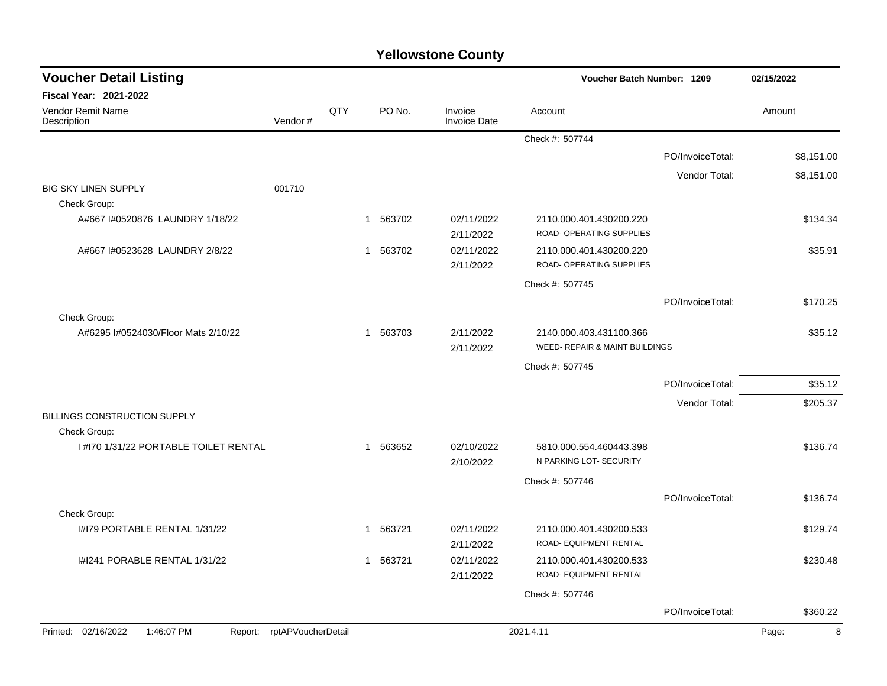|  | <b>Yellowstone County</b> |  |
|--|---------------------------|--|
|--|---------------------------|--|

| <b>Voucher Detail Listing</b>         |                            |     |                       |                                | Voucher Batch Number: 1209                          |                  |            |
|---------------------------------------|----------------------------|-----|-----------------------|--------------------------------|-----------------------------------------------------|------------------|------------|
| Fiscal Year: 2021-2022                |                            |     |                       |                                |                                                     |                  |            |
| Vendor Remit Name<br>Description      | Vendor#                    | QTY | PO No.                | Invoice<br><b>Invoice Date</b> | Account                                             |                  | Amount     |
|                                       |                            |     |                       |                                | Check #: 507744                                     |                  |            |
|                                       |                            |     |                       |                                |                                                     | PO/InvoiceTotal: | \$8,151.00 |
|                                       |                            |     |                       |                                |                                                     | Vendor Total:    | \$8,151.00 |
| <b>BIG SKY LINEN SUPPLY</b>           | 001710                     |     |                       |                                |                                                     |                  |            |
| Check Group:                          |                            |     |                       |                                |                                                     |                  |            |
| A#667 I#0520876 LAUNDRY 1/18/22       |                            |     | 1 563702              | 02/11/2022<br>2/11/2022        | 2110.000.401.430200.220<br>ROAD- OPERATING SUPPLIES |                  | \$134.34   |
| A#667 I#0523628 LAUNDRY 2/8/22        |                            |     | 1 563702              | 02/11/2022                     | 2110.000.401.430200.220                             |                  | \$35.91    |
|                                       |                            |     |                       | 2/11/2022                      | ROAD- OPERATING SUPPLIES                            |                  |            |
|                                       |                            |     |                       |                                | Check #: 507745                                     |                  |            |
|                                       |                            |     |                       |                                |                                                     | PO/InvoiceTotal: | \$170.25   |
| Check Group:                          |                            |     |                       |                                |                                                     |                  |            |
| A#6295 I#0524030/Floor Mats 2/10/22   |                            |     | 1 563703              | 2/11/2022                      | 2140.000.403.431100.366                             |                  | \$35.12    |
|                                       |                            |     |                       | 2/11/2022                      | WEED- REPAIR & MAINT BUILDINGS                      |                  |            |
|                                       |                            |     |                       |                                | Check #: 507745                                     |                  |            |
|                                       |                            |     |                       |                                |                                                     | PO/InvoiceTotal: | \$35.12    |
|                                       |                            |     |                       |                                |                                                     | Vendor Total:    | \$205.37   |
| BILLINGS CONSTRUCTION SUPPLY          |                            |     |                       |                                |                                                     |                  |            |
| Check Group:                          |                            |     |                       |                                |                                                     |                  |            |
| I #170 1/31/22 PORTABLE TOILET RENTAL |                            |     | 1 563652              | 02/10/2022<br>2/10/2022        | 5810.000.554.460443.398<br>N PARKING LOT- SECURITY  |                  | \$136.74   |
|                                       |                            |     |                       |                                | Check #: 507746                                     |                  |            |
|                                       |                            |     |                       |                                |                                                     | PO/InvoiceTotal: | \$136.74   |
| Check Group:                          |                            |     |                       |                                |                                                     |                  |            |
| I#I79 PORTABLE RENTAL 1/31/22         |                            |     | 563721<br>$\mathbf 1$ | 02/11/2022                     | 2110.000.401.430200.533                             |                  | \$129.74   |
|                                       |                            |     |                       | 2/11/2022                      | ROAD- EQUIPMENT RENTAL                              |                  |            |
| I#I241 PORABLE RENTAL 1/31/22         |                            |     | 563721<br>$\mathbf 1$ | 02/11/2022                     | 2110.000.401.430200.533                             |                  | \$230.48   |
|                                       |                            |     |                       | 2/11/2022                      | ROAD- EQUIPMENT RENTAL                              |                  |            |
|                                       |                            |     |                       |                                | Check #: 507746                                     |                  |            |
|                                       |                            |     |                       |                                |                                                     | PO/InvoiceTotal: | \$360.22   |
| Printed: 02/16/2022<br>1:46:07 PM     | Report: rptAPVoucherDetail |     |                       |                                | 2021.4.11                                           |                  | Page:<br>8 |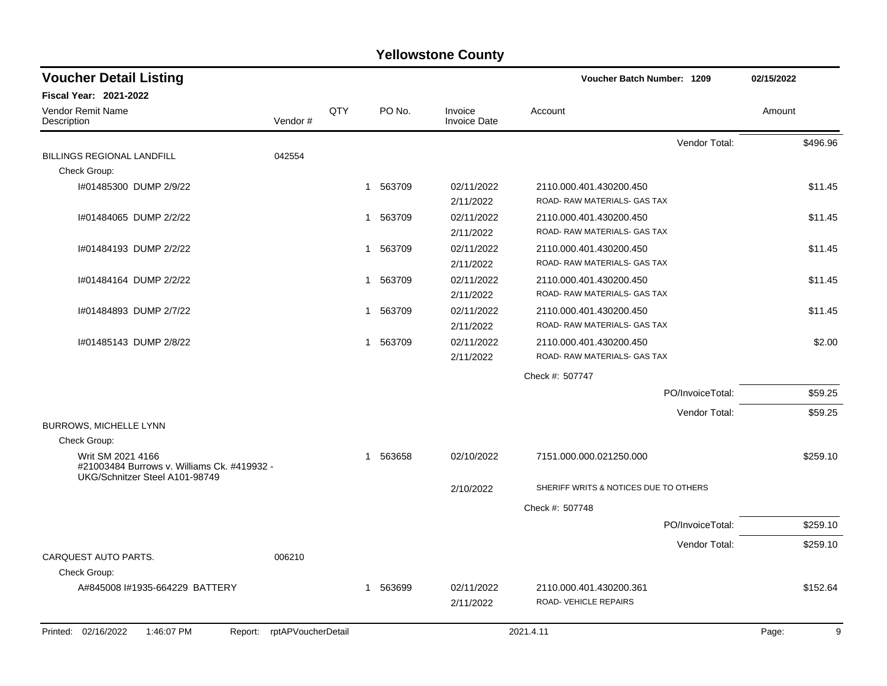| <b>Voucher Detail Listing</b>                                                                      |                    |     |          |                                | Voucher Batch Number: 1209            | 02/15/2022 |
|----------------------------------------------------------------------------------------------------|--------------------|-----|----------|--------------------------------|---------------------------------------|------------|
| <b>Fiscal Year: 2021-2022</b>                                                                      |                    |     |          |                                |                                       |            |
| Vendor Remit Name<br>Description                                                                   | Vendor#            | QTY | PO No.   | Invoice<br><b>Invoice Date</b> | Account                               | Amount     |
|                                                                                                    |                    |     |          |                                | Vendor Total:                         | \$496.96   |
| BILLINGS REGIONAL LANDFILL                                                                         | 042554             |     |          |                                |                                       |            |
| Check Group:                                                                                       |                    |     |          |                                |                                       |            |
| I#01485300 DUMP 2/9/22                                                                             |                    |     | 1 563709 | 02/11/2022                     | 2110.000.401.430200.450               | \$11.45    |
|                                                                                                    |                    |     |          | 2/11/2022                      | ROAD-RAW MATERIALS- GAS TAX           |            |
| I#01484065 DUMP 2/2/22                                                                             |                    |     | 1 563709 | 02/11/2022                     | 2110.000.401.430200.450               | \$11.45    |
|                                                                                                    |                    |     |          | 2/11/2022                      | ROAD-RAW MATERIALS- GAS TAX           |            |
| I#01484193 DUMP 2/2/22                                                                             |                    | 1   | 563709   | 02/11/2022                     | 2110.000.401.430200.450               | \$11.45    |
|                                                                                                    |                    |     |          | 2/11/2022                      | ROAD- RAW MATERIALS- GAS TAX          |            |
| I#01484164 DUMP 2/2/22                                                                             |                    | 1   | 563709   | 02/11/2022                     | 2110.000.401.430200.450               | \$11.45    |
|                                                                                                    |                    |     |          | 2/11/2022                      | ROAD- RAW MATERIALS- GAS TAX          |            |
| I#01484893 DUMP 2/7/22                                                                             |                    | 1   | 563709   | 02/11/2022                     | 2110.000.401.430200.450               | \$11.45    |
|                                                                                                    |                    |     |          | 2/11/2022                      | ROAD-RAW MATERIALS- GAS TAX           |            |
| I#01485143 DUMP 2/8/22                                                                             |                    | 1   | 563709   | 02/11/2022                     | 2110.000.401.430200.450               | \$2.00     |
|                                                                                                    |                    |     |          | 2/11/2022                      | ROAD-RAW MATERIALS- GAS TAX           |            |
|                                                                                                    |                    |     |          |                                | Check #: 507747                       |            |
|                                                                                                    |                    |     |          |                                | PO/InvoiceTotal:                      | \$59.25    |
|                                                                                                    |                    |     |          |                                | Vendor Total:                         | \$59.25    |
| BURROWS, MICHELLE LYNN                                                                             |                    |     |          |                                |                                       |            |
| Check Group:                                                                                       |                    |     |          |                                |                                       |            |
| Writ SM 2021 4166<br>#21003484 Burrows v. Williams Ck. #419932 -<br>UKG/Schnitzer Steel A101-98749 |                    | 1   | 563658   | 02/10/2022                     | 7151.000.000.021250.000               | \$259.10   |
|                                                                                                    |                    |     |          | 2/10/2022                      | SHERIFF WRITS & NOTICES DUE TO OTHERS |            |
|                                                                                                    |                    |     |          |                                | Check #: 507748                       |            |
|                                                                                                    |                    |     |          |                                | PO/InvoiceTotal:                      | \$259.10   |
|                                                                                                    |                    |     |          |                                | Vendor Total:                         | \$259.10   |
| <b>CARQUEST AUTO PARTS.</b>                                                                        | 006210             |     |          |                                |                                       |            |
| Check Group:                                                                                       |                    |     |          |                                |                                       |            |
| A#845008 I#1935-664229 BATTERY                                                                     |                    |     | 1 563699 | 02/11/2022                     | 2110.000.401.430200.361               | \$152.64   |
|                                                                                                    |                    |     |          | 2/11/2022                      | ROAD-VEHICLE REPAIRS                  |            |
| Printed: 02/16/2022<br>1:46:07 PM<br>Report:                                                       | rptAPVoucherDetail |     |          |                                | 2021.4.11                             | 9<br>Page: |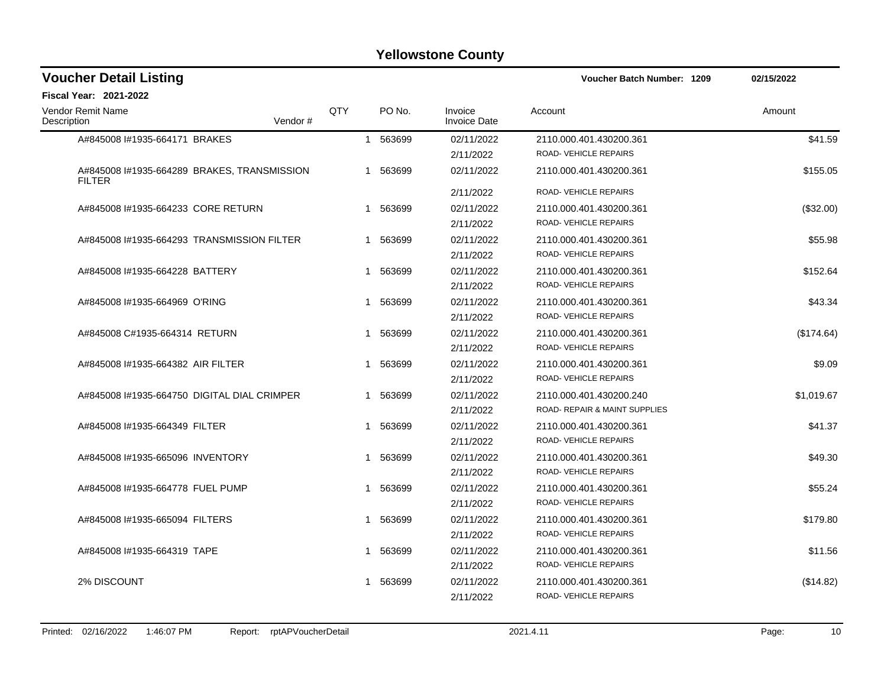| <b>Voucher Detail Listing</b>     |                                             |              |          |                                | <b>Voucher Batch Number: 1209</b>               | 02/15/2022 |
|-----------------------------------|---------------------------------------------|--------------|----------|--------------------------------|-------------------------------------------------|------------|
| <b>Fiscal Year: 2021-2022</b>     |                                             |              |          |                                |                                                 |            |
| Vendor Remit Name<br>Description  | Vendor#                                     | QTY          | PO No.   | Invoice<br><b>Invoice Date</b> | Account                                         | Amount     |
| A#845008 #1935-664171 BRAKES      |                                             |              | 1 563699 | 02/11/2022<br>2/11/2022        | 2110.000.401.430200.361<br>ROAD-VEHICLE REPAIRS | \$41.59    |
| <b>FILTER</b>                     | A#845008 I#1935-664289 BRAKES, TRANSMISSION |              | 1 563699 | 02/11/2022                     | 2110.000.401.430200.361                         | \$155.05   |
|                                   |                                             |              |          | 2/11/2022                      | ROAD-VEHICLE REPAIRS                            |            |
| A#845008 #1935-664233 CORE RETURN |                                             |              | 1 563699 | 02/11/2022                     | 2110.000.401.430200.361                         | (\$32.00)  |
|                                   |                                             |              |          | 2/11/2022                      | <b>ROAD- VEHICLE REPAIRS</b>                    |            |
|                                   | A#845008 #1935-664293 TRANSMISSION FILTER   |              | 1 563699 | 02/11/2022                     | 2110.000.401.430200.361                         | \$55.98    |
|                                   |                                             |              |          | 2/11/2022                      | ROAD-VEHICLE REPAIRS                            |            |
| A#845008 #1935-664228 BATTERY     |                                             | -1           | 563699   | 02/11/2022                     | 2110.000.401.430200.361                         | \$152.64   |
|                                   |                                             |              |          | 2/11/2022                      | ROAD-VEHICLE REPAIRS                            |            |
| A#845008 #1935-664969 O'RING      |                                             | 1            | 563699   | 02/11/2022                     | 2110.000.401.430200.361                         | \$43.34    |
|                                   |                                             |              |          | 2/11/2022                      | ROAD-VEHICLE REPAIRS                            |            |
| A#845008 C#1935-664314 RETURN     |                                             |              | 1 563699 | 02/11/2022                     | 2110.000.401.430200.361                         | (\$174.64) |
|                                   |                                             |              |          | 2/11/2022                      | ROAD-VEHICLE REPAIRS                            |            |
| A#845008 #1935-664382 AIR FILTER  |                                             | 1            | 563699   | 02/11/2022                     | 2110.000.401.430200.361                         | \$9.09     |
|                                   |                                             |              |          | 2/11/2022                      | ROAD-VEHICLE REPAIRS                            |            |
|                                   | A#845008 #1935-664750 DIGITAL DIAL CRIMPER  |              | 1 563699 | 02/11/2022                     | 2110.000.401.430200.240                         | \$1,019.67 |
|                                   |                                             |              |          | 2/11/2022                      | ROAD- REPAIR & MAINT SUPPLIES                   |            |
| A#845008 #1935-664349 FILTER      |                                             |              | 1 563699 | 02/11/2022                     | 2110.000.401.430200.361                         | \$41.37    |
|                                   |                                             |              |          | 2/11/2022                      | ROAD-VEHICLE REPAIRS                            |            |
| A#845008 #1935-665096 INVENTORY   |                                             | $\mathbf{1}$ | 563699   | 02/11/2022                     | 2110.000.401.430200.361                         | \$49.30    |
|                                   |                                             |              |          | 2/11/2022                      | ROAD-VEHICLE REPAIRS                            |            |
| A#845008 I#1935-664778 FUEL PUMP  |                                             |              | 1 563699 | 02/11/2022                     | 2110.000.401.430200.361                         | \$55.24    |
|                                   |                                             |              |          | 2/11/2022                      | ROAD-VEHICLE REPAIRS                            |            |
| A#845008 #1935-665094 FILTERS     |                                             | 1            | 563699   | 02/11/2022                     | 2110.000.401.430200.361                         | \$179.80   |
|                                   |                                             |              |          | 2/11/2022                      | ROAD-VEHICLE REPAIRS                            |            |
| A#845008 #1935-664319 TAPE        |                                             | 1            | 563699   | 02/11/2022                     | 2110.000.401.430200.361                         | \$11.56    |
|                                   |                                             |              |          | 2/11/2022                      | ROAD-VEHICLE REPAIRS                            |            |
| 2% DISCOUNT                       |                                             | 1            | 563699   | 02/11/2022                     | 2110.000.401.430200.361                         | (\$14.82)  |
|                                   |                                             |              |          | 2/11/2022                      | ROAD-VEHICLE REPAIRS                            |            |
|                                   |                                             |              |          |                                |                                                 |            |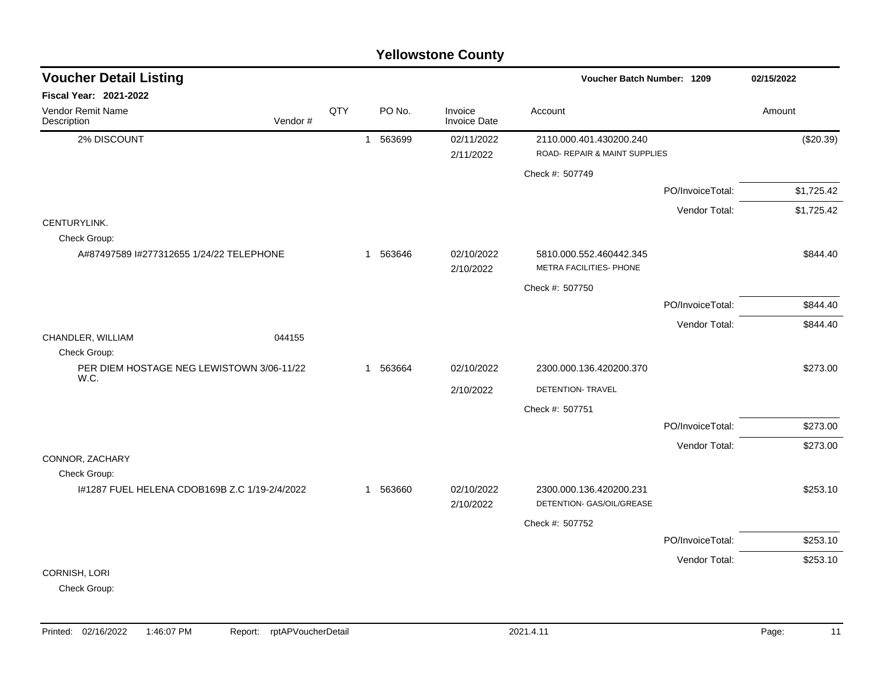|                                                   | <b>Yellowstone County</b> |     |              |          |                                |                                                           |                  |            |  |  |  |  |
|---------------------------------------------------|---------------------------|-----|--------------|----------|--------------------------------|-----------------------------------------------------------|------------------|------------|--|--|--|--|
| <b>Voucher Detail Listing</b>                     |                           |     |              |          |                                | Voucher Batch Number: 1209                                |                  | 02/15/2022 |  |  |  |  |
| <b>Fiscal Year: 2021-2022</b>                     |                           |     |              |          |                                |                                                           |                  |            |  |  |  |  |
| Vendor Remit Name<br>Description                  | Vendor#                   | QTY |              | PO No.   | Invoice<br><b>Invoice Date</b> | Account                                                   |                  | Amount     |  |  |  |  |
| 2% DISCOUNT                                       |                           |     | $\mathbf{1}$ | 563699   | 02/11/2022<br>2/11/2022        | 2110.000.401.430200.240<br>ROAD- REPAIR & MAINT SUPPLIES  |                  | (\$20.39)  |  |  |  |  |
|                                                   |                           |     |              |          |                                | Check #: 507749                                           |                  |            |  |  |  |  |
|                                                   |                           |     |              |          |                                |                                                           | PO/InvoiceTotal: | \$1,725.42 |  |  |  |  |
|                                                   |                           |     |              |          |                                |                                                           | Vendor Total:    | \$1,725.42 |  |  |  |  |
| CENTURYLINK.<br>Check Group:                      |                           |     |              |          |                                |                                                           |                  |            |  |  |  |  |
| A#87497589 I#277312655 1/24/22 TELEPHONE          |                           |     |              | 1 563646 | 02/10/2022<br>2/10/2022        | 5810.000.552.460442.345<br><b>METRA FACILITIES- PHONE</b> |                  | \$844.40   |  |  |  |  |
|                                                   |                           |     |              |          |                                | Check #: 507750                                           |                  |            |  |  |  |  |
|                                                   |                           |     |              |          |                                |                                                           | PO/InvoiceTotal: | \$844.40   |  |  |  |  |
|                                                   |                           |     |              |          |                                |                                                           | Vendor Total:    | \$844.40   |  |  |  |  |
| CHANDLER, WILLIAM<br>Check Group:                 | 044155                    |     |              |          |                                |                                                           |                  |            |  |  |  |  |
| PER DIEM HOSTAGE NEG LEWISTOWN 3/06-11/22<br>W.C. |                           |     | 1            | 563664   | 02/10/2022                     | 2300.000.136.420200.370                                   |                  | \$273.00   |  |  |  |  |
|                                                   |                           |     |              |          | 2/10/2022                      | DETENTION- TRAVEL                                         |                  |            |  |  |  |  |
|                                                   |                           |     |              |          |                                | Check #: 507751                                           |                  |            |  |  |  |  |
|                                                   |                           |     |              |          |                                |                                                           | PO/InvoiceTotal: | \$273.00   |  |  |  |  |
| CONNOR, ZACHARY                                   |                           |     |              |          |                                |                                                           | Vendor Total:    | \$273.00   |  |  |  |  |
| Check Group:                                      |                           |     |              |          |                                |                                                           |                  |            |  |  |  |  |
| I#1287 FUEL HELENA CDOB169B Z.C 1/19-2/4/2022     |                           |     |              | 1 563660 | 02/10/2022<br>2/10/2022        | 2300.000.136.420200.231<br>DETENTION- GAS/OIL/GREASE      |                  | \$253.10   |  |  |  |  |
|                                                   |                           |     |              |          |                                | Check #: 507752                                           |                  |            |  |  |  |  |
|                                                   |                           |     |              |          |                                |                                                           | PO/InvoiceTotal: | \$253.10   |  |  |  |  |
|                                                   |                           |     |              |          |                                |                                                           | Vendor Total:    | \$253.10   |  |  |  |  |
| CORNISH, LORI<br>Check Group:                     |                           |     |              |          |                                |                                                           |                  |            |  |  |  |  |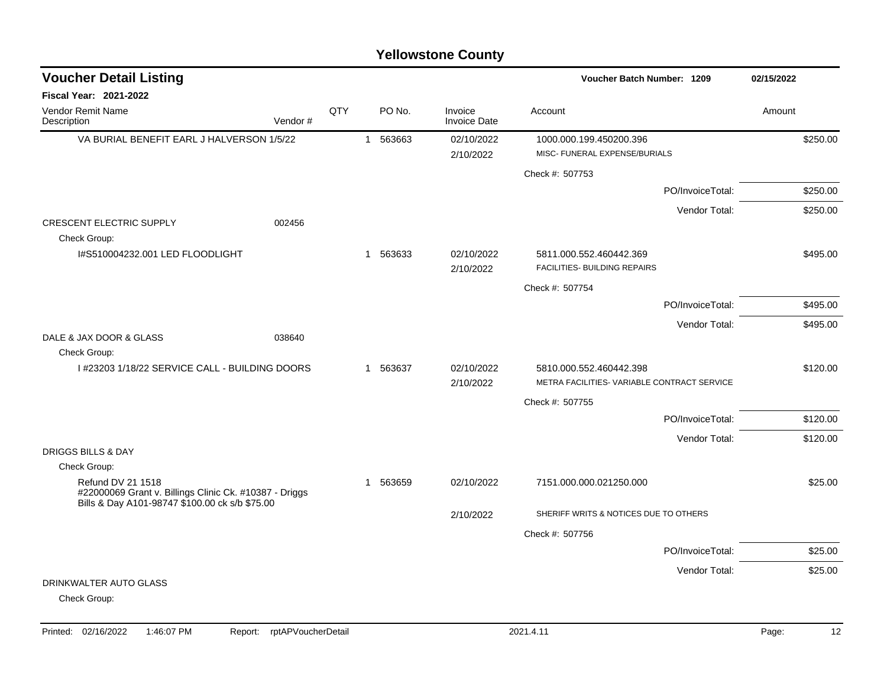| <b>Voucher Detail Listing</b>                                                                                                 |         |     |              |          |                                | Voucher Batch Number: 1209                               |                  | 02/15/2022 |
|-------------------------------------------------------------------------------------------------------------------------------|---------|-----|--------------|----------|--------------------------------|----------------------------------------------------------|------------------|------------|
| Fiscal Year: 2021-2022                                                                                                        |         |     |              |          |                                |                                                          |                  |            |
| Vendor Remit Name<br>Description                                                                                              | Vendor# | QTY |              | PO No.   | Invoice<br><b>Invoice Date</b> | Account                                                  |                  | Amount     |
| VA BURIAL BENEFIT EARL J HALVERSON 1/5/22                                                                                     |         |     | $\mathbf{1}$ | 563663   | 02/10/2022<br>2/10/2022        | 1000.000.199.450200.396<br>MISC- FUNERAL EXPENSE/BURIALS |                  | \$250.00   |
|                                                                                                                               |         |     |              |          |                                | Check #: 507753                                          |                  |            |
|                                                                                                                               |         |     |              |          |                                |                                                          | PO/InvoiceTotal: | \$250.00   |
| CRESCENT ELECTRIC SUPPLY<br>Check Group:                                                                                      | 002456  |     |              |          |                                |                                                          | Vendor Total:    | \$250.00   |
| I#S510004232.001 LED FLOODLIGHT                                                                                               |         |     |              | 1 563633 | 02/10/2022<br>2/10/2022        | 5811.000.552.460442.369<br>FACILITIES- BUILDING REPAIRS  |                  | \$495.00   |
|                                                                                                                               |         |     |              |          |                                | Check #: 507754                                          |                  |            |
|                                                                                                                               |         |     |              |          |                                |                                                          | PO/InvoiceTotal: | \$495.00   |
|                                                                                                                               |         |     |              |          |                                |                                                          | Vendor Total:    | \$495.00   |
| DALE & JAX DOOR & GLASS<br>Check Group:                                                                                       | 038640  |     |              |          |                                |                                                          |                  |            |
| I #23203 1/18/22 SERVICE CALL - BUILDING DOORS                                                                                |         |     | $\mathbf{1}$ | 563637   | 02/10/2022                     | 5810.000.552.460442.398                                  |                  | \$120.00   |
|                                                                                                                               |         |     |              |          | 2/10/2022                      | METRA FACILITIES- VARIABLE CONTRACT SERVICE              |                  |            |
|                                                                                                                               |         |     |              |          |                                | Check #: 507755                                          |                  |            |
|                                                                                                                               |         |     |              |          |                                |                                                          | PO/InvoiceTotal: | \$120.00   |
| <b>DRIGGS BILLS &amp; DAY</b>                                                                                                 |         |     |              |          |                                |                                                          | Vendor Total:    | \$120.00   |
| Check Group:                                                                                                                  |         |     |              |          |                                |                                                          |                  |            |
| Refund DV 21 1518<br>#22000069 Grant v. Billings Clinic Ck. #10387 - Driggs<br>Bills & Day A101-98747 \$100.00 ck s/b \$75.00 |         |     | $\mathbf 1$  | 563659   | 02/10/2022                     | 7151.000.000.021250.000                                  |                  | \$25.00    |
|                                                                                                                               |         |     |              |          | 2/10/2022                      | SHERIFF WRITS & NOTICES DUE TO OTHERS                    |                  |            |
|                                                                                                                               |         |     |              |          |                                | Check #: 507756                                          |                  |            |
|                                                                                                                               |         |     |              |          |                                |                                                          | PO/InvoiceTotal: | \$25.00    |
|                                                                                                                               |         |     |              |          |                                |                                                          | Vendor Total:    | \$25.00    |
| DRINKWALTER AUTO GLASS<br>Check Group:                                                                                        |         |     |              |          |                                |                                                          |                  |            |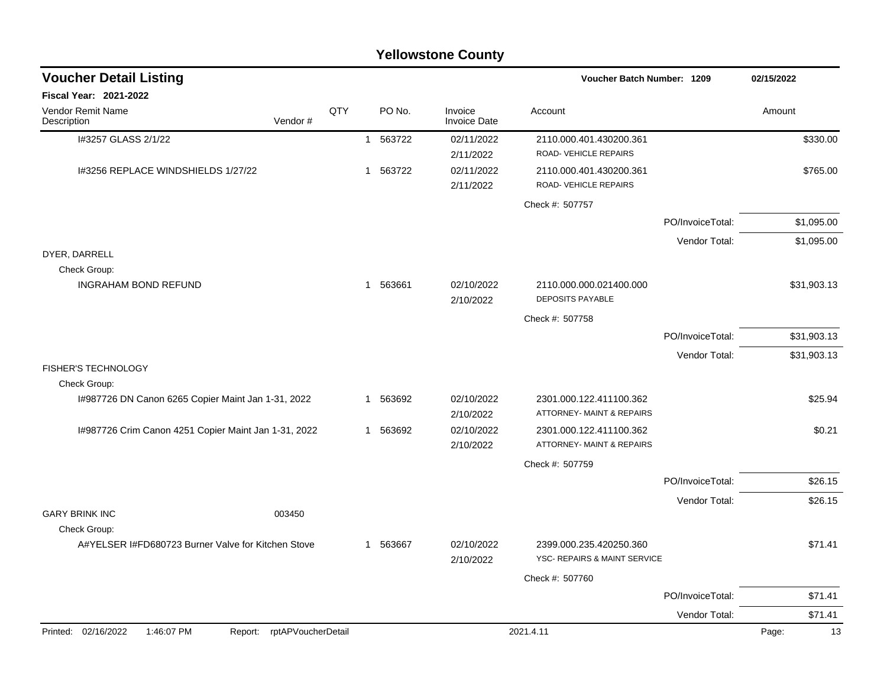|                                                                    |     |          | <b>Yellowstone County</b>      |                                                         |                  |             |
|--------------------------------------------------------------------|-----|----------|--------------------------------|---------------------------------------------------------|------------------|-------------|
| <b>Voucher Detail Listing</b>                                      |     |          |                                | Voucher Batch Number: 1209                              |                  | 02/15/2022  |
| <b>Fiscal Year: 2021-2022</b>                                      |     |          |                                |                                                         |                  |             |
| <b>Vendor Remit Name</b><br>Vendor#<br>Description                 | QTY | PO No.   | Invoice<br><b>Invoice Date</b> | Account                                                 |                  | Amount      |
| I#3257 GLASS 2/1/22                                                |     | 1 563722 | 02/11/2022<br>2/11/2022        | 2110.000.401.430200.361<br>ROAD-VEHICLE REPAIRS         |                  | \$330.00    |
| 1#3256 REPLACE WINDSHIELDS 1/27/22                                 |     | 1 563722 | 02/11/2022<br>2/11/2022        | 2110.000.401.430200.361<br>ROAD-VEHICLE REPAIRS         |                  | \$765.00    |
|                                                                    |     |          |                                | Check #: 507757                                         |                  |             |
|                                                                    |     |          |                                |                                                         | PO/InvoiceTotal: | \$1,095.00  |
|                                                                    |     |          |                                |                                                         | Vendor Total:    | \$1,095.00  |
| DYER, DARRELL                                                      |     |          |                                |                                                         |                  |             |
| Check Group:<br><b>INGRAHAM BOND REFUND</b>                        |     | 1 563661 | 02/10/2022<br>2/10/2022        | 2110.000.000.021400.000<br><b>DEPOSITS PAYABLE</b>      |                  | \$31,903.13 |
|                                                                    |     |          |                                | Check #: 507758                                         |                  |             |
|                                                                    |     |          |                                |                                                         | PO/InvoiceTotal: | \$31,903.13 |
|                                                                    |     |          |                                |                                                         | Vendor Total:    | \$31,903.13 |
| <b>FISHER'S TECHNOLOGY</b><br>Check Group:                         |     |          |                                |                                                         |                  |             |
| I#987726 DN Canon 6265 Copier Maint Jan 1-31, 2022                 |     | 1 563692 | 02/10/2022<br>2/10/2022        | 2301.000.122.411100.362<br>ATTORNEY- MAINT & REPAIRS    |                  | \$25.94     |
| I#987726 Crim Canon 4251 Copier Maint Jan 1-31, 2022               |     | 1 563692 | 02/10/2022<br>2/10/2022        | 2301.000.122.411100.362<br>ATTORNEY- MAINT & REPAIRS    |                  | \$0.21      |
|                                                                    |     |          |                                | Check #: 507759                                         |                  |             |
|                                                                    |     |          |                                |                                                         | PO/InvoiceTotal: | \$26.15     |
|                                                                    |     |          |                                |                                                         | Vendor Total:    | \$26.15     |
| <b>GARY BRINK INC</b><br>003450                                    |     |          |                                |                                                         |                  |             |
| Check Group:<br>A#YELSER I#FD680723 Burner Valve for Kitchen Stove |     | 1 563667 | 02/10/2022<br>2/10/2022        | 2399.000.235.420250.360<br>YSC- REPAIRS & MAINT SERVICE |                  | \$71.41     |
|                                                                    |     |          |                                | Check #: 507760                                         |                  |             |
|                                                                    |     |          |                                |                                                         | PO/InvoiceTotal: | \$71.41     |
|                                                                    |     |          |                                |                                                         | Vendor Total:    | \$71.41     |
| Printed: 02/16/2022<br>1:46:07 PM<br>Report: rptAPVoucherDetail    |     |          |                                | 2021.4.11                                               |                  | 13<br>Page: |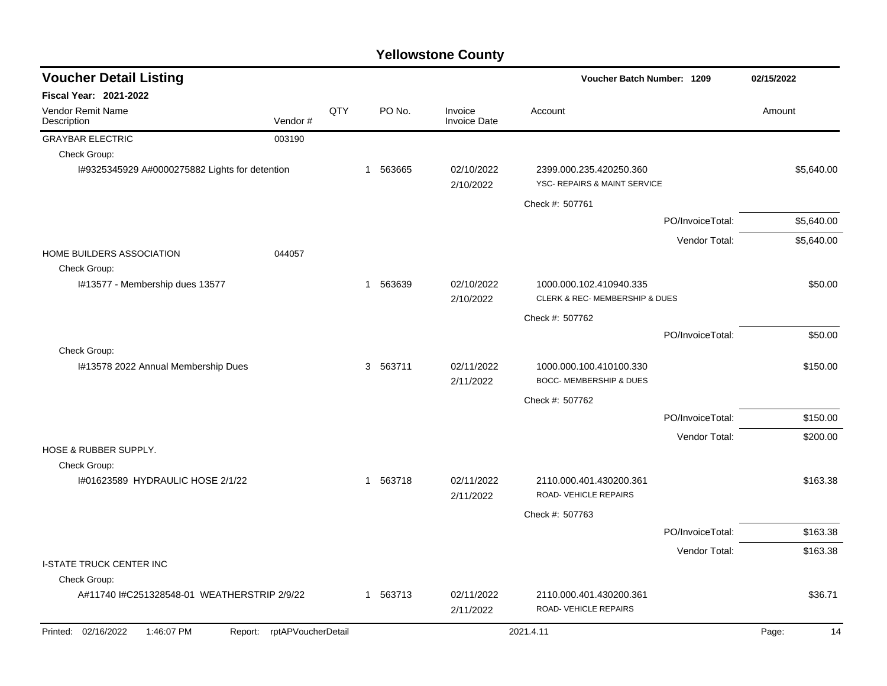| <b>Voucher Detail Listing</b>                  |                            |     |             |                                |                                                           | Voucher Batch Number: 1209 |             |  |
|------------------------------------------------|----------------------------|-----|-------------|--------------------------------|-----------------------------------------------------------|----------------------------|-------------|--|
| <b>Fiscal Year: 2021-2022</b>                  |                            |     |             |                                |                                                           |                            |             |  |
| Vendor Remit Name<br>Description               | Vendor#                    | QTY | PO No.      | Invoice<br><b>Invoice Date</b> | Account                                                   |                            | Amount      |  |
| <b>GRAYBAR ELECTRIC</b>                        | 003190                     |     |             |                                |                                                           |                            |             |  |
| Check Group:                                   |                            |     |             |                                |                                                           |                            |             |  |
| I#9325345929 A#0000275882 Lights for detention |                            |     | 1 563665    | 02/10/2022<br>2/10/2022        | 2399.000.235.420250.360<br>YSC- REPAIRS & MAINT SERVICE   |                            | \$5,640.00  |  |
|                                                |                            |     |             |                                | Check #: 507761                                           |                            |             |  |
|                                                |                            |     |             |                                |                                                           | PO/InvoiceTotal:           | \$5,640.00  |  |
|                                                |                            |     |             |                                |                                                           | Vendor Total:              | \$5,640.00  |  |
| HOME BUILDERS ASSOCIATION<br>Check Group:      | 044057                     |     |             |                                |                                                           |                            |             |  |
| I#13577 - Membership dues 13577                |                            |     | 1 563639    | 02/10/2022<br>2/10/2022        | 1000.000.102.410940.335<br>CLERK & REC- MEMBERSHIP & DUES |                            | \$50.00     |  |
|                                                |                            |     |             |                                | Check #: 507762                                           |                            |             |  |
|                                                |                            |     |             |                                |                                                           | PO/InvoiceTotal:           | \$50.00     |  |
| Check Group:                                   |                            |     |             |                                |                                                           |                            |             |  |
| I#13578 2022 Annual Membership Dues            |                            |     | 3 563711    | 02/11/2022<br>2/11/2022        | 1000.000.100.410100.330<br>BOCC- MEMBERSHIP & DUES        |                            | \$150.00    |  |
|                                                |                            |     |             |                                | Check #: 507762                                           |                            |             |  |
|                                                |                            |     |             |                                |                                                           | PO/InvoiceTotal:           | \$150.00    |  |
|                                                |                            |     |             |                                |                                                           | Vendor Total:              | \$200.00    |  |
| HOSE & RUBBER SUPPLY.<br>Check Group:          |                            |     |             |                                |                                                           |                            |             |  |
| I#01623589 HYDRAULIC HOSE 2/1/22               |                            |     | 563718<br>1 | 02/11/2022<br>2/11/2022        | 2110.000.401.430200.361<br>ROAD- VEHICLE REPAIRS          |                            | \$163.38    |  |
|                                                |                            |     |             |                                | Check #: 507763                                           |                            |             |  |
|                                                |                            |     |             |                                |                                                           | PO/InvoiceTotal:           | \$163.38    |  |
|                                                |                            |     |             |                                |                                                           | Vendor Total:              | \$163.38    |  |
| <b>I-STATE TRUCK CENTER INC</b>                |                            |     |             |                                |                                                           |                            |             |  |
| Check Group:                                   |                            |     |             |                                |                                                           |                            |             |  |
| A#11740 I#C251328548-01 WEATHERSTRIP 2/9/22    |                            |     | 1 563713    | 02/11/2022<br>2/11/2022        | 2110.000.401.430200.361<br>ROAD- VEHICLE REPAIRS          |                            | \$36.71     |  |
| Printed: 02/16/2022<br>1:46:07 PM              | Report: rptAPVoucherDetail |     |             |                                | 2021.4.11                                                 |                            | Page:<br>14 |  |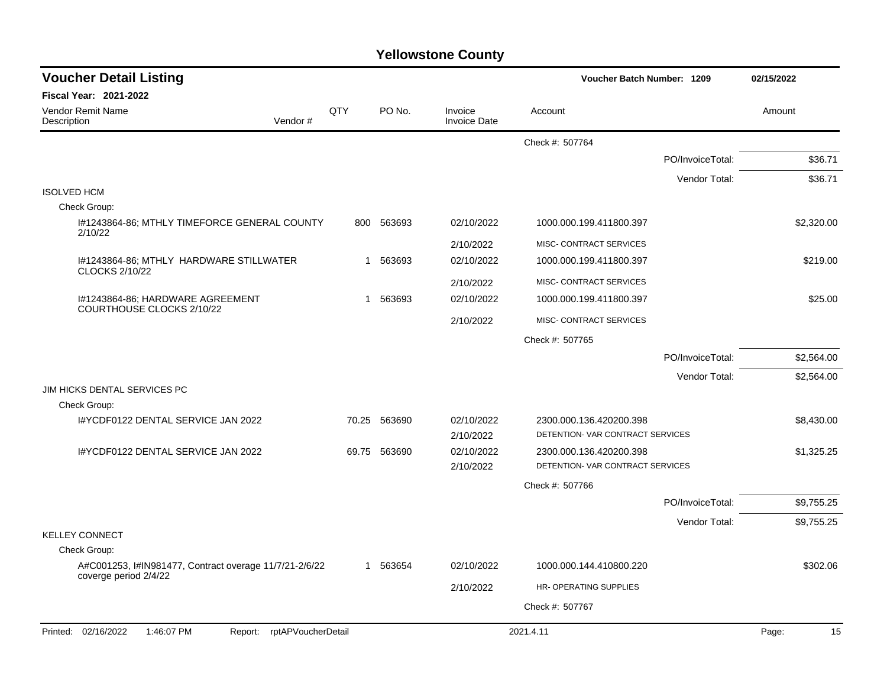| <b>Voucher Detail Listing</b>                                                   |              |              |                                | Voucher Batch Number: 1209                                  |                  | 02/15/2022 |
|---------------------------------------------------------------------------------|--------------|--------------|--------------------------------|-------------------------------------------------------------|------------------|------------|
| <b>Fiscal Year: 2021-2022</b>                                                   |              |              |                                |                                                             |                  |            |
| <b>Vendor Remit Name</b><br>Vendor#<br>Description                              | QTY          | PO No.       | Invoice<br><b>Invoice Date</b> | Account                                                     |                  | Amount     |
|                                                                                 |              |              |                                | Check #: 507764                                             |                  |            |
|                                                                                 |              |              |                                |                                                             | PO/InvoiceTotal: | \$36.71    |
|                                                                                 |              |              |                                |                                                             | Vendor Total:    | \$36.71    |
| <b>ISOLVED HCM</b>                                                              |              |              |                                |                                                             |                  |            |
| Check Group:                                                                    |              |              |                                |                                                             |                  |            |
| I#1243864-86; MTHLY TIMEFORCE GENERAL COUNTY<br>2/10/22                         |              | 800 563693   | 02/10/2022                     | 1000.000.199.411800.397                                     |                  | \$2,320.00 |
|                                                                                 |              |              | 2/10/2022                      | MISC- CONTRACT SERVICES                                     |                  |            |
| I#1243864-86; MTHLY HARDWARE STILLWATER                                         | $\mathbf{1}$ | 563693       | 02/10/2022                     | 1000.000.199.411800.397                                     |                  | \$219.00   |
| <b>CLOCKS 2/10/22</b>                                                           |              |              | 2/10/2022                      | MISC- CONTRACT SERVICES                                     |                  |            |
| 1#1243864-86: HARDWARE AGREEMENT                                                | $\mathbf{1}$ | 563693       | 02/10/2022                     | 1000.000.199.411800.397                                     |                  | \$25.00    |
| COURTHOUSE CLOCKS 2/10/22                                                       |              |              | 2/10/2022                      | MISC- CONTRACT SERVICES                                     |                  |            |
|                                                                                 |              |              |                                | Check #: 507765                                             |                  |            |
|                                                                                 |              |              |                                |                                                             | PO/InvoiceTotal: | \$2,564.00 |
|                                                                                 |              |              |                                |                                                             | Vendor Total:    | \$2,564.00 |
| JIM HICKS DENTAL SERVICES PC                                                    |              |              |                                |                                                             |                  |            |
| Check Group:                                                                    |              |              |                                |                                                             |                  |            |
| I#YCDF0122 DENTAL SERVICE JAN 2022                                              |              | 70.25 563690 | 02/10/2022                     | 2300.000.136.420200.398<br>DETENTION- VAR CONTRACT SERVICES |                  | \$8,430.00 |
| I#YCDF0122 DENTAL SERVICE JAN 2022                                              |              | 69.75 563690 | 2/10/2022<br>02/10/2022        |                                                             |                  |            |
|                                                                                 |              |              | 2/10/2022                      | 2300.000.136.420200.398<br>DETENTION- VAR CONTRACT SERVICES |                  | \$1,325.25 |
|                                                                                 |              |              |                                | Check #: 507766                                             |                  |            |
|                                                                                 |              |              |                                |                                                             | PO/InvoiceTotal: | \$9,755.25 |
|                                                                                 |              |              |                                |                                                             | Vendor Total:    | \$9,755.25 |
| <b>KELLEY CONNECT</b>                                                           |              |              |                                |                                                             |                  |            |
| Check Group:                                                                    |              |              |                                |                                                             |                  |            |
| A#C001253, I#IN981477, Contract overage 11/7/21-2/6/22<br>coverge period 2/4/22 |              | 1 563654     | 02/10/2022                     | 1000.000.144.410800.220                                     |                  | \$302.06   |
|                                                                                 |              |              | 2/10/2022                      | HR-OPERATING SUPPLIES                                       |                  |            |
|                                                                                 |              |              |                                | Check #: 507767                                             |                  |            |
| Printed: 02/16/2022<br>1:46:07 PM<br>Report: rptAPVoucherDetail                 |              |              |                                | 2021.4.11                                                   |                  | 15         |
|                                                                                 |              |              |                                |                                                             |                  | Page:      |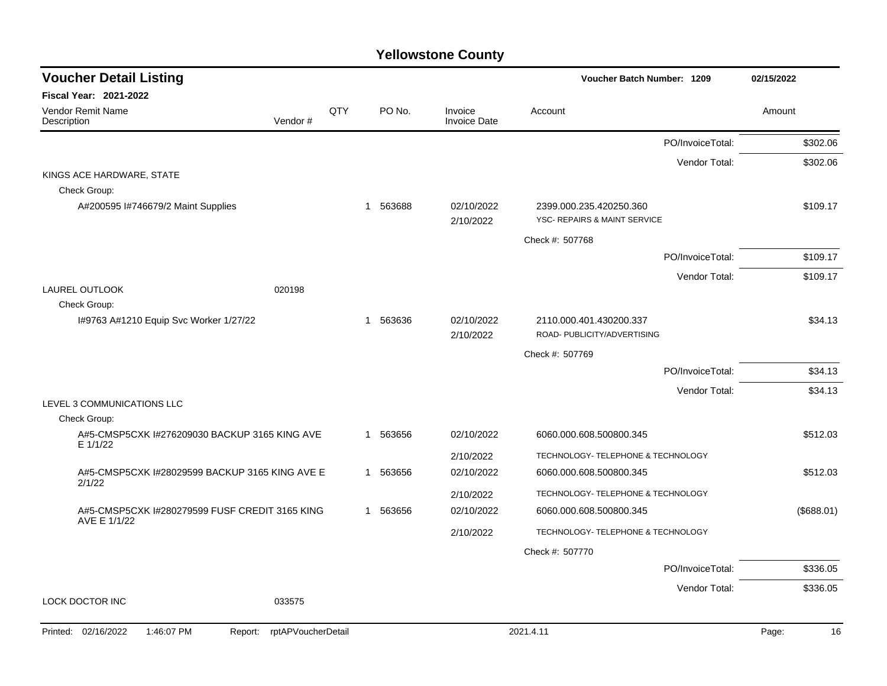| <b>Voucher Detail Listing</b>                                  |                    |     |          |                                | Voucher Batch Number: 1209                              | 02/15/2022  |
|----------------------------------------------------------------|--------------------|-----|----------|--------------------------------|---------------------------------------------------------|-------------|
| Fiscal Year: 2021-2022                                         |                    |     |          |                                |                                                         |             |
| Vendor Remit Name<br>Description                               | Vendor#            | QTY | PO No.   | Invoice<br><b>Invoice Date</b> | Account                                                 | Amount      |
|                                                                |                    |     |          |                                | PO/InvoiceTotal:                                        | \$302.06    |
|                                                                |                    |     |          |                                | Vendor Total:                                           | \$302.06    |
| KINGS ACE HARDWARE, STATE                                      |                    |     |          |                                |                                                         |             |
| Check Group:                                                   |                    |     |          |                                |                                                         |             |
| A#200595 I#746679/2 Maint Supplies                             |                    |     | 1 563688 | 02/10/2022<br>2/10/2022        | 2399.000.235.420250.360<br>YSC- REPAIRS & MAINT SERVICE | \$109.17    |
|                                                                |                    |     |          |                                | Check #: 507768                                         |             |
|                                                                |                    |     |          |                                | PO/InvoiceTotal:                                        | \$109.17    |
|                                                                |                    |     |          |                                | Vendor Total:                                           | \$109.17    |
| LAUREL OUTLOOK                                                 | 020198             |     |          |                                |                                                         |             |
| Check Group:<br>I#9763 A#1210 Equip Svc Worker 1/27/22         |                    |     | 1 563636 | 02/10/2022                     | 2110.000.401.430200.337                                 | \$34.13     |
|                                                                |                    |     |          | 2/10/2022                      | ROAD- PUBLICITY/ADVERTISING                             |             |
|                                                                |                    |     |          |                                | Check #: 507769                                         |             |
|                                                                |                    |     |          |                                | PO/InvoiceTotal:                                        | \$34.13     |
|                                                                |                    |     |          |                                | Vendor Total:                                           | \$34.13     |
| LEVEL 3 COMMUNICATIONS LLC                                     |                    |     |          |                                |                                                         |             |
| Check Group:                                                   |                    |     |          |                                |                                                         |             |
| A#5-CMSP5CXK I#276209030 BACKUP 3165 KING AVE<br>E 1/1/22      |                    |     | 1 563656 | 02/10/2022                     | 6060.000.608.500800.345                                 | \$512.03    |
|                                                                |                    |     |          | 2/10/2022                      | TECHNOLOGY- TELEPHONE & TECHNOLOGY                      |             |
| A#5-CMSP5CXK I#28029599 BACKUP 3165 KING AVE E<br>2/1/22       |                    |     | 1 563656 | 02/10/2022                     | 6060.000.608.500800.345                                 | \$512.03    |
|                                                                |                    |     |          | 2/10/2022                      | TECHNOLOGY- TELEPHONE & TECHNOLOGY                      |             |
| A#5-CMSP5CXK I#280279599 FUSF CREDIT 3165 KING<br>AVE E 1/1/22 |                    |     | 1 563656 | 02/10/2022                     | 6060.000.608.500800.345                                 | (\$688.01)  |
|                                                                |                    |     |          | 2/10/2022                      | TECHNOLOGY- TELEPHONE & TECHNOLOGY                      |             |
|                                                                |                    |     |          |                                | Check #: 507770                                         |             |
|                                                                |                    |     |          |                                | PO/InvoiceTotal:                                        | \$336.05    |
|                                                                |                    |     |          |                                | Vendor Total:                                           | \$336.05    |
| LOCK DOCTOR INC                                                | 033575             |     |          |                                |                                                         |             |
| Printed: 02/16/2022<br>1:46:07 PM<br>Report:                   | rptAPVoucherDetail |     |          |                                | 2021.4.11                                               | 16<br>Page: |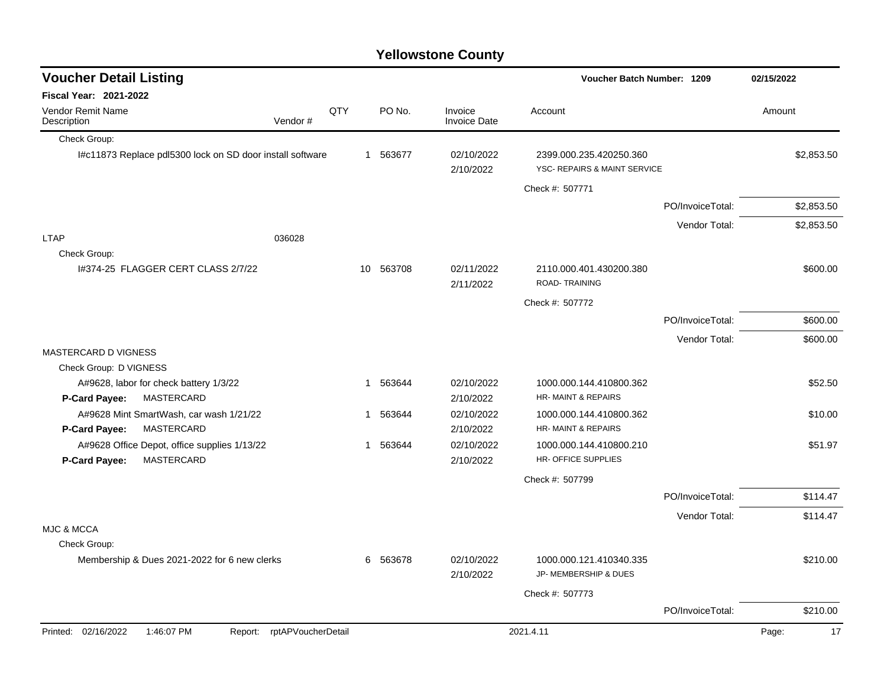| <b>Voucher Detail Listing</b>                                 |                    |   |           |                                | Voucher Batch Number: 1209                              |                  | 02/15/2022  |  |
|---------------------------------------------------------------|--------------------|---|-----------|--------------------------------|---------------------------------------------------------|------------------|-------------|--|
| Fiscal Year: 2021-2022                                        |                    |   |           |                                |                                                         |                  |             |  |
| <b>Vendor Remit Name</b><br>Description                       | QTY<br>Vendor#     |   | PO No.    | Invoice<br><b>Invoice Date</b> | Account                                                 |                  | Amount      |  |
| Check Group:                                                  |                    |   |           |                                |                                                         |                  |             |  |
| I#c11873 Replace pdl5300 lock on SD door install software     |                    |   | 1 563677  | 02/10/2022<br>2/10/2022        | 2399.000.235.420250.360<br>YSC- REPAIRS & MAINT SERVICE |                  | \$2,853.50  |  |
|                                                               |                    |   |           |                                | Check #: 507771                                         |                  |             |  |
|                                                               |                    |   |           |                                |                                                         | PO/InvoiceTotal: | \$2,853.50  |  |
|                                                               |                    |   |           |                                |                                                         | Vendor Total:    | \$2,853.50  |  |
| <b>LTAP</b>                                                   | 036028             |   |           |                                |                                                         |                  |             |  |
| Check Group:                                                  |                    |   |           |                                |                                                         |                  |             |  |
| 1#374-25 FLAGGER CERT CLASS 2/7/22                            |                    |   | 10 563708 | 02/11/2022<br>2/11/2022        | 2110.000.401.430200.380<br>ROAD-TRAINING                |                  | \$600.00    |  |
|                                                               |                    |   |           |                                | Check #: 507772                                         |                  |             |  |
|                                                               |                    |   |           |                                |                                                         | PO/InvoiceTotal: | \$600.00    |  |
|                                                               |                    |   |           |                                |                                                         | Vendor Total:    | \$600.00    |  |
| MASTERCARD D VIGNESS                                          |                    |   |           |                                |                                                         |                  |             |  |
| Check Group: D VIGNESS                                        |                    |   |           |                                |                                                         |                  |             |  |
| A#9628, labor for check battery 1/3/22                        |                    |   | 1 563644  | 02/10/2022                     | 1000.000.144.410800.362                                 |                  | \$52.50     |  |
| MASTERCARD<br>P-Card Payee:                                   |                    |   |           | 2/10/2022                      | HR-MAINT & REPAIRS                                      |                  |             |  |
| A#9628 Mint SmartWash, car wash 1/21/22<br>MASTERCARD         |                    | 1 | 563644    | 02/10/2022                     | 1000.000.144.410800.362<br>HR-MAINT & REPAIRS           |                  | \$10.00     |  |
| P-Card Payee:<br>A#9628 Office Depot, office supplies 1/13/22 |                    |   | 1 563644  | 2/10/2022<br>02/10/2022        | 1000.000.144.410800.210                                 |                  | \$51.97     |  |
| MASTERCARD<br>P-Card Payee:                                   |                    |   |           | 2/10/2022                      | HR- OFFICE SUPPLIES                                     |                  |             |  |
|                                                               |                    |   |           |                                | Check #: 507799                                         |                  |             |  |
|                                                               |                    |   |           |                                |                                                         | PO/InvoiceTotal: | \$114.47    |  |
|                                                               |                    |   |           |                                |                                                         | Vendor Total:    | \$114.47    |  |
| <b>MJC &amp; MCCA</b>                                         |                    |   |           |                                |                                                         |                  |             |  |
| Check Group:                                                  |                    |   |           |                                |                                                         |                  |             |  |
| Membership & Dues 2021-2022 for 6 new clerks                  |                    |   | 6 563678  | 02/10/2022<br>2/10/2022        | 1000.000.121.410340.335<br>JP- MEMBERSHIP & DUES        |                  | \$210.00    |  |
|                                                               |                    |   |           |                                | Check #: 507773                                         |                  |             |  |
|                                                               |                    |   |           |                                |                                                         | PO/InvoiceTotal: | \$210.00    |  |
| Printed: 02/16/2022<br>1:46:07 PM<br>Report:                  | rptAPVoucherDetail |   |           |                                | 2021.4.11                                               |                  | Page:<br>17 |  |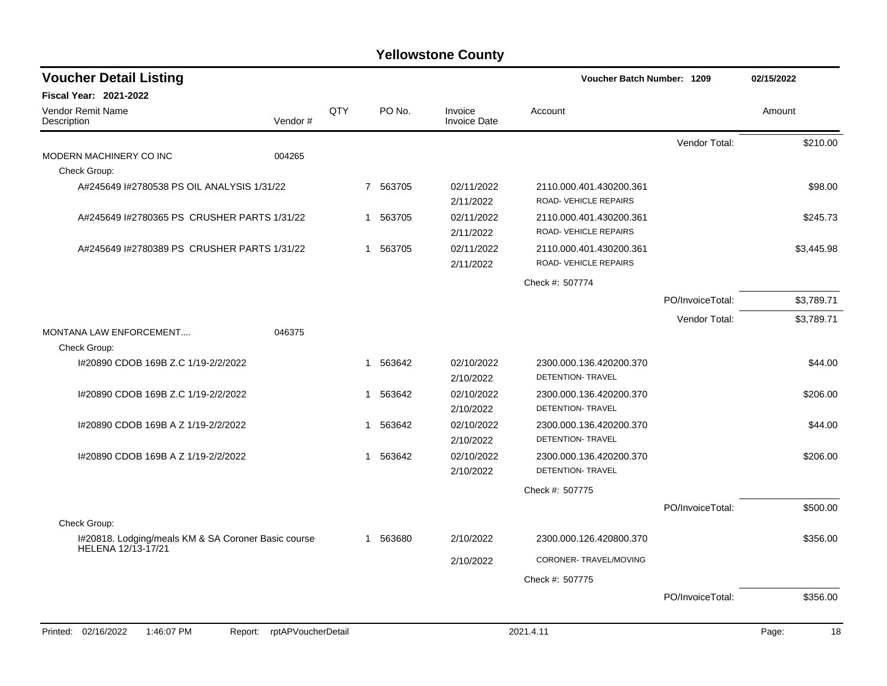| <b>Voucher Detail Listing</b>                                                       |                    |              |          |                                | Voucher Batch Number: 1209                      |                  | 02/15/2022  |
|-------------------------------------------------------------------------------------|--------------------|--------------|----------|--------------------------------|-------------------------------------------------|------------------|-------------|
| <b>Fiscal Year: 2021-2022</b><br><b>Vendor Remit Name</b><br>Description<br>Vendor# |                    | QTY          | PO No.   | Invoice<br><b>Invoice Date</b> | Account                                         |                  | Amount      |
| MODERN MACHINERY CO INC<br>004265                                                   |                    |              |          |                                |                                                 | Vendor Total:    | \$210.00    |
| Check Group:                                                                        |                    |              |          |                                |                                                 |                  |             |
| A#245649 I#2780538 PS OIL ANALYSIS 1/31/22                                          |                    |              | 7 563705 | 02/11/2022<br>2/11/2022        | 2110.000.401.430200.361<br>ROAD-VEHICLE REPAIRS |                  | \$98.00     |
| A#245649 #2780365 PS CRUSHER PARTS 1/31/22                                          |                    | $\mathbf{1}$ | 563705   | 02/11/2022<br>2/11/2022        | 2110.000.401.430200.361<br>ROAD-VEHICLE REPAIRS |                  | \$245.73    |
| A#245649 #2780389 PS CRUSHER PARTS 1/31/22                                          |                    | 1            | 563705   | 02/11/2022<br>2/11/2022        | 2110.000.401.430200.361<br>ROAD-VEHICLE REPAIRS |                  | \$3,445.98  |
|                                                                                     |                    |              |          |                                | Check #: 507774                                 |                  |             |
|                                                                                     |                    |              |          |                                |                                                 | PO/InvoiceTotal: | \$3,789.71  |
| <b>MONTANA LAW ENFORCEMENT</b><br>046375                                            |                    |              |          |                                |                                                 | Vendor Total:    | \$3,789.71  |
| Check Group:                                                                        |                    |              |          |                                |                                                 |                  |             |
| I#20890 CDOB 169B Z.C 1/19-2/2/2022                                                 |                    | $\mathbf{1}$ | 563642   | 02/10/2022<br>2/10/2022        | 2300.000.136.420200.370<br>DETENTION- TRAVEL    |                  | \$44.00     |
| I#20890 CDOB 169B Z.C 1/19-2/2/2022                                                 |                    | 1            | 563642   | 02/10/2022<br>2/10/2022        | 2300.000.136.420200.370<br>DETENTION- TRAVEL    |                  | \$206.00    |
| I#20890 CDOB 169B A Z 1/19-2/2/2022                                                 |                    | 1            | 563642   | 02/10/2022<br>2/10/2022        | 2300.000.136.420200.370<br>DETENTION- TRAVEL    |                  | \$44.00     |
| 1#20890 CDOB 169B A Z 1/19-2/2/2022                                                 |                    | 1            | 563642   | 02/10/2022<br>2/10/2022        | 2300.000.136.420200.370<br>DETENTION- TRAVEL    |                  | \$206.00    |
|                                                                                     |                    |              |          |                                | Check #: 507775                                 |                  |             |
| Check Group:                                                                        |                    |              |          |                                |                                                 | PO/InvoiceTotal: | \$500.00    |
| I#20818. Lodging/meals KM & SA Coroner Basic course                                 |                    | $\mathbf{1}$ | 563680   | 2/10/2022                      | 2300.000.126.420800.370                         |                  | \$356.00    |
| HELENA 12/13-17/21                                                                  |                    |              |          | 2/10/2022                      | CORONER-TRAVEL/MOVING                           |                  |             |
|                                                                                     |                    |              |          |                                | Check #: 507775                                 |                  |             |
|                                                                                     |                    |              |          |                                |                                                 | PO/InvoiceTotal: | \$356.00    |
| 02/16/2022<br>1:46:07 PM<br>Printed:<br>Report:                                     | rptAPVoucherDetail |              |          |                                | 2021.4.11                                       |                  | Page:<br>18 |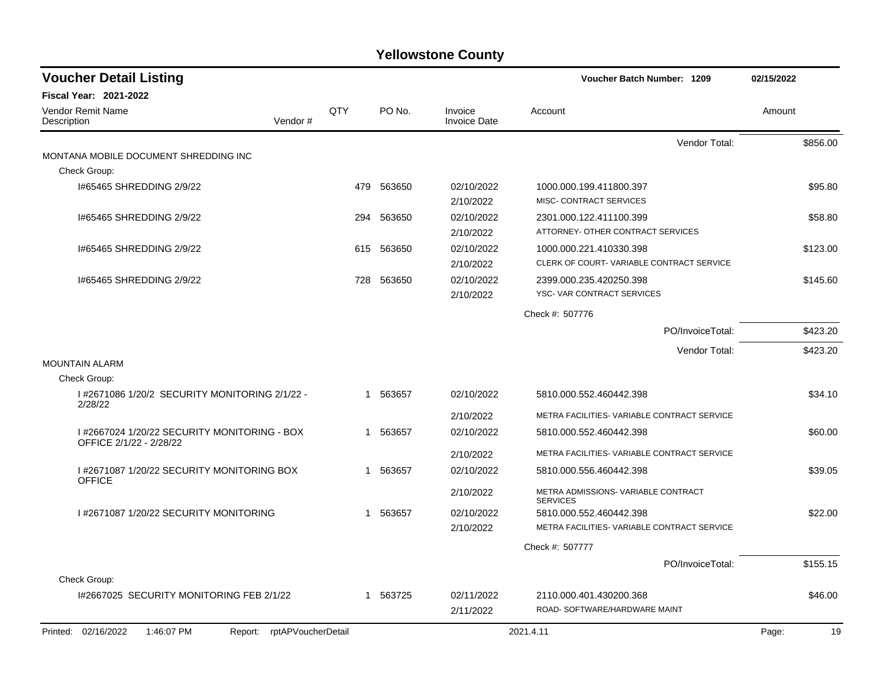| <b>Voucher Detail Listing</b>                                           |     |            |                         | Voucher Batch Number: 1209                                          | 02/15/2022  |
|-------------------------------------------------------------------------|-----|------------|-------------------------|---------------------------------------------------------------------|-------------|
| <b>Fiscal Year: 2021-2022</b><br><b>Vendor Remit Name</b>               | QTY | PO No.     | Invoice                 | Account                                                             | Amount      |
| Vendor#<br>Description                                                  |     |            | <b>Invoice Date</b>     |                                                                     |             |
| MONTANA MOBILE DOCUMENT SHREDDING INC                                   |     |            |                         | Vendor Total:                                                       | \$856.00    |
| Check Group:                                                            |     |            |                         |                                                                     |             |
| 1#65465 SHREDDING 2/9/22                                                |     | 479 563650 | 02/10/2022<br>2/10/2022 | 1000.000.199.411800.397<br>MISC- CONTRACT SERVICES                  | \$95.80     |
| 1#65465 SHREDDING 2/9/22                                                | 294 | 563650     | 02/10/2022<br>2/10/2022 | 2301.000.122.411100.399<br>ATTORNEY- OTHER CONTRACT SERVICES        | \$58.80     |
| 1#65465 SHREDDING 2/9/22                                                | 615 | 563650     | 02/10/2022<br>2/10/2022 | 1000.000.221.410330.398<br>CLERK OF COURT-VARIABLE CONTRACT SERVICE | \$123.00    |
| 1#65465 SHREDDING 2/9/22                                                |     | 728 563650 | 02/10/2022<br>2/10/2022 | 2399.000.235.420250.398<br>YSC-VAR CONTRACT SERVICES                | \$145.60    |
|                                                                         |     |            |                         | Check #: 507776                                                     |             |
|                                                                         |     |            |                         | PO/InvoiceTotal:                                                    | \$423.20    |
|                                                                         |     |            |                         | Vendor Total:                                                       | \$423.20    |
| <b>MOUNTAIN ALARM</b>                                                   |     |            |                         |                                                                     |             |
| Check Group:                                                            |     |            |                         |                                                                     |             |
| 1#2671086 1/20/2 SECURITY MONITORING 2/1/22 -<br>2/28/22                |     | 1 563657   | 02/10/2022              | 5810.000.552.460442.398                                             | \$34.10     |
|                                                                         |     |            | 2/10/2022               | METRA FACILITIES- VARIABLE CONTRACT SERVICE                         |             |
| I #2667024 1/20/22 SECURITY MONITORING - BOX<br>OFFICE 2/1/22 - 2/28/22 |     | 1 563657   | 02/10/2022              | 5810.000.552.460442.398                                             | \$60.00     |
|                                                                         |     |            | 2/10/2022               | METRA FACILITIES- VARIABLE CONTRACT SERVICE                         |             |
| 1#2671087 1/20/22 SECURITY MONITORING BOX<br><b>OFFICE</b>              |     | 1 563657   | 02/10/2022              | 5810.000.556.460442.398                                             | \$39.05     |
|                                                                         |     |            | 2/10/2022               | METRA ADMISSIONS- VARIABLE CONTRACT<br><b>SERVICES</b>              |             |
| 1#2671087 1/20/22 SECURITY MONITORING                                   | 1   | 563657     | 02/10/2022              | 5810.000.552.460442.398                                             | \$22.00     |
|                                                                         |     |            | 2/10/2022               | METRA FACILITIES- VARIABLE CONTRACT SERVICE                         |             |
|                                                                         |     |            |                         | Check #: 507777                                                     |             |
|                                                                         |     |            |                         | PO/InvoiceTotal:                                                    | \$155.15    |
| Check Group:                                                            |     |            |                         |                                                                     |             |
| I#2667025 SECURITY MONITORING FEB 2/1/22                                |     | 1 563725   | 02/11/2022              | 2110.000.401.430200.368                                             | \$46.00     |
|                                                                         |     |            | 2/11/2022               | ROAD- SOFTWARE/HARDWARE MAINT                                       |             |
| Printed: 02/16/2022<br>1:46:07 PM<br>Report: rptAPVoucherDetail         |     |            |                         | 2021.4.11                                                           | 19<br>Page: |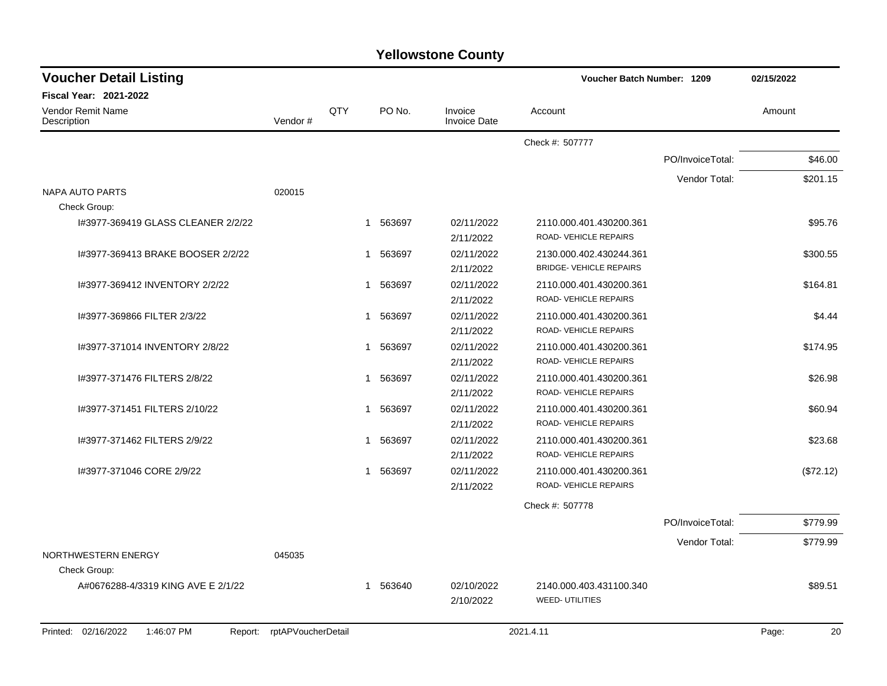| <b>Yellowstone County</b> |  |
|---------------------------|--|
|---------------------------|--|

| <b>Voucher Detail Listing</b>                |                    |     |          |                                | Voucher Batch Number: 1209     |                  | 02/15/2022  |  |
|----------------------------------------------|--------------------|-----|----------|--------------------------------|--------------------------------|------------------|-------------|--|
| <b>Fiscal Year: 2021-2022</b>                |                    |     |          |                                |                                |                  |             |  |
| <b>Vendor Remit Name</b><br>Description      | Vendor#            | QTY | PO No.   | Invoice<br><b>Invoice Date</b> | Account                        |                  | Amount      |  |
|                                              |                    |     |          |                                | Check #: 507777                |                  |             |  |
|                                              |                    |     |          |                                |                                | PO/InvoiceTotal: | \$46.00     |  |
|                                              |                    |     |          |                                |                                | Vendor Total:    | \$201.15    |  |
| NAPA AUTO PARTS                              | 020015             |     |          |                                |                                |                  |             |  |
| Check Group:                                 |                    |     |          |                                |                                |                  |             |  |
| 1#3977-369419 GLASS CLEANER 2/2/22           |                    |     | 1 563697 | 02/11/2022                     | 2110.000.401.430200.361        |                  | \$95.76     |  |
|                                              |                    |     |          | 2/11/2022                      | ROAD-VEHICLE REPAIRS           |                  |             |  |
| 1#3977-369413 BRAKE BOOSER 2/2/22            |                    | 1   | 563697   | 02/11/2022                     | 2130.000.402.430244.361        |                  | \$300.55    |  |
|                                              |                    |     |          | 2/11/2022                      | <b>BRIDGE- VEHICLE REPAIRS</b> |                  |             |  |
| 1#3977-369412 INVENTORY 2/2/22               |                    | 1   | 563697   | 02/11/2022                     | 2110.000.401.430200.361        |                  | \$164.81    |  |
|                                              |                    |     |          | 2/11/2022                      | ROAD-VEHICLE REPAIRS           |                  |             |  |
| I#3977-369866 FILTER 2/3/22                  |                    | 1   | 563697   | 02/11/2022                     | 2110.000.401.430200.361        |                  | \$4.44      |  |
|                                              |                    |     |          | 2/11/2022                      | ROAD-VEHICLE REPAIRS           |                  |             |  |
| I#3977-371014 INVENTORY 2/8/22               |                    | 1   | 563697   | 02/11/2022                     | 2110.000.401.430200.361        |                  | \$174.95    |  |
|                                              |                    |     |          | 2/11/2022                      | ROAD-VEHICLE REPAIRS           |                  |             |  |
| I#3977-371476 FILTERS 2/8/22                 |                    | 1   | 563697   | 02/11/2022                     | 2110.000.401.430200.361        |                  | \$26.98     |  |
|                                              |                    |     |          | 2/11/2022                      | <b>ROAD- VEHICLE REPAIRS</b>   |                  |             |  |
| I#3977-371451 FILTERS 2/10/22                |                    | 1   | 563697   | 02/11/2022                     | 2110.000.401.430200.361        |                  | \$60.94     |  |
|                                              |                    |     |          | 2/11/2022                      | ROAD-VEHICLE REPAIRS           |                  |             |  |
| 1#3977-371462 FILTERS 2/9/22                 |                    | 1   | 563697   | 02/11/2022                     | 2110.000.401.430200.361        |                  | \$23.68     |  |
|                                              |                    |     |          | 2/11/2022                      | ROAD-VEHICLE REPAIRS           |                  |             |  |
| I#3977-371046 CORE 2/9/22                    |                    | 1   | 563697   | 02/11/2022                     | 2110.000.401.430200.361        |                  | (\$72.12)   |  |
|                                              |                    |     |          | 2/11/2022                      | ROAD- VEHICLE REPAIRS          |                  |             |  |
|                                              |                    |     |          |                                | Check #: 507778                |                  |             |  |
|                                              |                    |     |          |                                |                                | PO/InvoiceTotal: | \$779.99    |  |
|                                              |                    |     |          |                                |                                | Vendor Total:    | \$779.99    |  |
| NORTHWESTERN ENERGY                          | 045035             |     |          |                                |                                |                  |             |  |
| Check Group:                                 |                    |     |          |                                |                                |                  |             |  |
| A#0676288-4/3319 KING AVE E 2/1/22           |                    | 1   | 563640   | 02/10/2022                     | 2140.000.403.431100.340        |                  | \$89.51     |  |
|                                              |                    |     |          | 2/10/2022                      | <b>WEED- UTILITIES</b>         |                  |             |  |
| Printed: 02/16/2022<br>1:46:07 PM<br>Report: | rptAPVoucherDetail |     |          |                                | 2021.4.11                      |                  | 20<br>Page: |  |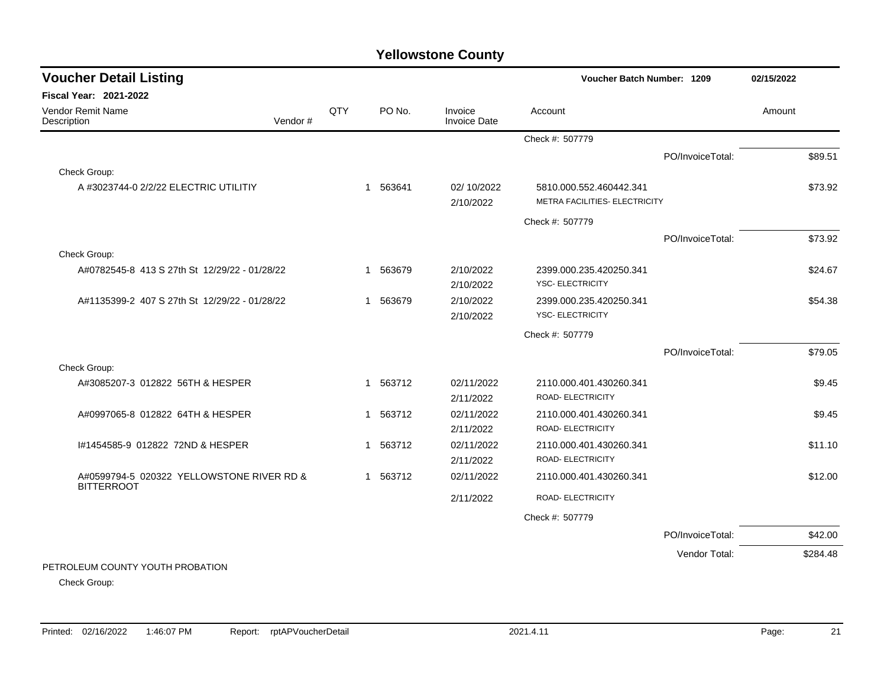| <b>Voucher Detail Listing</b>                 |         |     |                       |                                | <b>Voucher Batch Number: 1209</b>            |                  | 02/15/2022 |          |
|-----------------------------------------------|---------|-----|-----------------------|--------------------------------|----------------------------------------------|------------------|------------|----------|
| Fiscal Year: 2021-2022                        |         |     |                       |                                |                                              |                  |            |          |
| Vendor Remit Name<br>Description              | Vendor# | QTY | PO No.                | Invoice<br><b>Invoice Date</b> | Account                                      |                  | Amount     |          |
|                                               |         |     |                       |                                | Check #: 507779                              |                  |            |          |
|                                               |         |     |                       |                                |                                              | PO/InvoiceTotal: |            | \$89.51  |
| Check Group:                                  |         |     |                       |                                |                                              |                  |            |          |
| A #3023744-0 2/2/22 ELECTRIC UTILITIY         |         |     | 1 563641              | 02/10/2022                     | 5810.000.552.460442.341                      |                  |            | \$73.92  |
|                                               |         |     |                       | 2/10/2022                      | METRA FACILITIES- ELECTRICITY                |                  |            |          |
|                                               |         |     |                       |                                | Check #: 507779                              |                  |            |          |
|                                               |         |     |                       |                                |                                              | PO/InvoiceTotal: |            | \$73.92  |
| Check Group:                                  |         |     |                       |                                |                                              |                  |            |          |
| A#0782545-8 413 S 27th St 12/29/22 - 01/28/22 |         |     | 563679<br>1           | 2/10/2022                      | 2399.000.235.420250.341                      |                  |            | \$24.67  |
|                                               |         |     |                       | 2/10/2022                      | YSC- ELECTRICITY                             |                  |            |          |
| A#1135399-2 407 S 27th St 12/29/22 - 01/28/22 |         |     | 1 563679              | 2/10/2022                      | 2399.000.235.420250.341                      |                  |            | \$54.38  |
|                                               |         |     |                       | 2/10/2022                      | <b>YSC- ELECTRICITY</b>                      |                  |            |          |
|                                               |         |     |                       |                                | Check #: 507779                              |                  |            |          |
|                                               |         |     |                       |                                |                                              | PO/InvoiceTotal: |            | \$79.05  |
| Check Group:                                  |         |     |                       |                                |                                              |                  |            |          |
| A#3085207-3 012822 56TH & HESPER              |         |     | 1 563712              | 02/11/2022                     | 2110.000.401.430260.341                      |                  |            | \$9.45   |
|                                               |         |     |                       | 2/11/2022                      | ROAD- ELECTRICITY                            |                  |            |          |
| A#0997065-8 012822 64TH & HESPER              |         |     | 1 563712              | 02/11/2022<br>2/11/2022        | 2110.000.401.430260.341<br>ROAD- ELECTRICITY |                  |            | \$9.45   |
| #1454585-9 012822 72ND & HESPER               |         |     | 563712<br>$\mathbf 1$ | 02/11/2022                     | 2110.000.401.430260.341                      |                  |            | \$11.10  |
|                                               |         |     |                       | 2/11/2022                      | ROAD- ELECTRICITY                            |                  |            |          |
| A#0599794-5 020322 YELLOWSTONE RIVER RD &     |         |     | 1 563712              | 02/11/2022                     | 2110.000.401.430260.341                      |                  |            | \$12.00  |
| <b>BITTERROOT</b>                             |         |     |                       |                                |                                              |                  |            |          |
|                                               |         |     |                       | 2/11/2022                      | ROAD- ELECTRICITY                            |                  |            |          |
|                                               |         |     |                       |                                | Check #: 507779                              |                  |            |          |
|                                               |         |     |                       |                                |                                              | PO/InvoiceTotal: |            | \$42.00  |
|                                               |         |     |                       |                                |                                              | Vendor Total:    |            | \$284.48 |
| PETROLEUM COUNTY YOUTH PROBATION              |         |     |                       |                                |                                              |                  |            |          |

Check Group: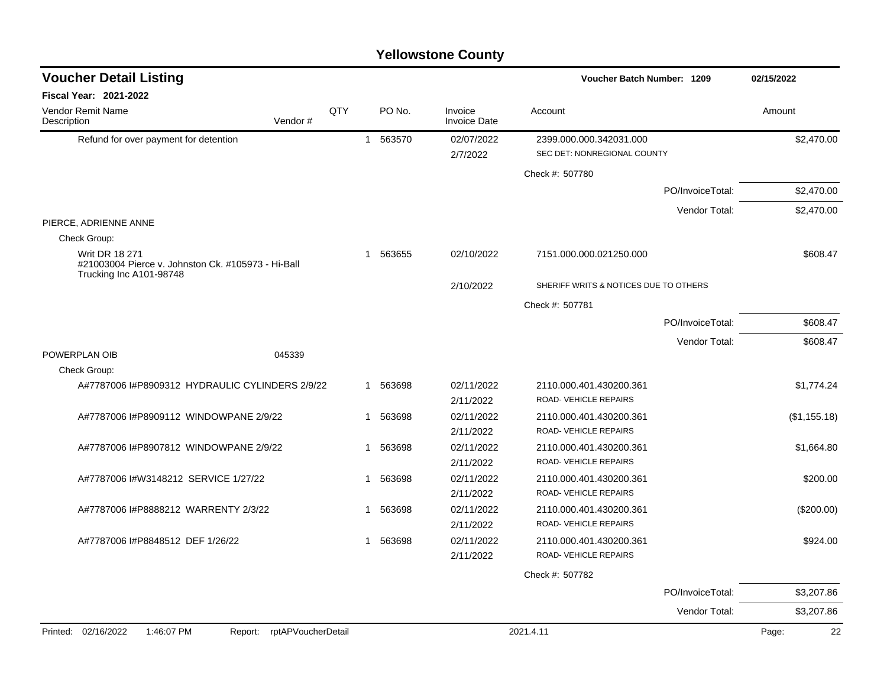| <b>Voucher Detail Listing</b>                                               |     |          |                                | Voucher Batch Number: 1209                             |                  | 02/15/2022   |
|-----------------------------------------------------------------------------|-----|----------|--------------------------------|--------------------------------------------------------|------------------|--------------|
| <b>Fiscal Year: 2021-2022</b>                                               |     |          |                                |                                                        |                  |              |
| <b>Vendor Remit Name</b><br>Description<br>Vendor#                          | QTY | PO No.   | Invoice<br><b>Invoice Date</b> | Account                                                |                  | Amount       |
| Refund for over payment for detention                                       |     | 1 563570 | 02/07/2022<br>2/7/2022         | 2399.000.000.342031.000<br>SEC DET: NONREGIONAL COUNTY |                  | \$2,470.00   |
|                                                                             |     |          |                                | Check #: 507780                                        |                  |              |
|                                                                             |     |          |                                |                                                        | PO/InvoiceTotal: | \$2,470.00   |
|                                                                             |     |          |                                |                                                        | Vendor Total:    | \$2,470.00   |
| PIERCE, ADRIENNE ANNE<br>Check Group:                                       |     |          |                                |                                                        |                  |              |
| <b>Writ DR 18 271</b><br>#21003004 Pierce v. Johnston Ck. #105973 - Hi-Ball |     | 1 563655 | 02/10/2022                     | 7151.000.000.021250.000                                |                  | \$608.47     |
| Trucking Inc A101-98748                                                     |     |          | 2/10/2022                      | SHERIFF WRITS & NOTICES DUE TO OTHERS                  |                  |              |
|                                                                             |     |          |                                | Check #: 507781                                        |                  |              |
|                                                                             |     |          |                                |                                                        | PO/InvoiceTotal: | \$608.47     |
|                                                                             |     |          |                                |                                                        | Vendor Total:    | \$608.47     |
| POWERPLAN OIB<br>045339                                                     |     |          |                                |                                                        |                  |              |
| Check Group:                                                                |     |          |                                |                                                        |                  |              |
| A#7787006 I#P8909312 HYDRAULIC CYLINDERS 2/9/22                             |     | 1 563698 | 02/11/2022<br>2/11/2022        | 2110.000.401.430200.361<br>ROAD- VEHICLE REPAIRS       |                  | \$1,774.24   |
| A#7787006 I#P8909112 WINDOWPANE 2/9/22                                      | 1   | 563698   | 02/11/2022<br>2/11/2022        | 2110.000.401.430200.361<br>ROAD- VEHICLE REPAIRS       |                  | (\$1,155.18) |
| A#7787006 I#P8907812 WINDOWPANE 2/9/22                                      | 1   | 563698   | 02/11/2022<br>2/11/2022        | 2110.000.401.430200.361<br>ROAD-VEHICLE REPAIRS        |                  | \$1,664.80   |
| A#7787006 I#W3148212 SERVICE 1/27/22                                        | 1   | 563698   | 02/11/2022<br>2/11/2022        | 2110.000.401.430200.361<br>ROAD-VEHICLE REPAIRS        |                  | \$200.00     |
| A#7787006 I#P8888212 WARRENTY 2/3/22                                        | 1   | 563698   | 02/11/2022<br>2/11/2022        | 2110.000.401.430200.361<br>ROAD-VEHICLE REPAIRS        |                  | $(\$200.00)$ |
| A#7787006 I#P8848512 DEF 1/26/22                                            |     | 1 563698 | 02/11/2022<br>2/11/2022        | 2110.000.401.430200.361<br>ROAD-VEHICLE REPAIRS        |                  | \$924.00     |
|                                                                             |     |          |                                | Check #: 507782                                        |                  |              |
|                                                                             |     |          |                                |                                                        | PO/InvoiceTotal: | \$3,207.86   |
|                                                                             |     |          |                                |                                                        | Vendor Total:    | \$3,207.86   |
| Printed: 02/16/2022<br>1:46:07 PM<br>rptAPVoucherDetail<br>Report:          |     |          |                                | 2021.4.11                                              |                  | 22<br>Page:  |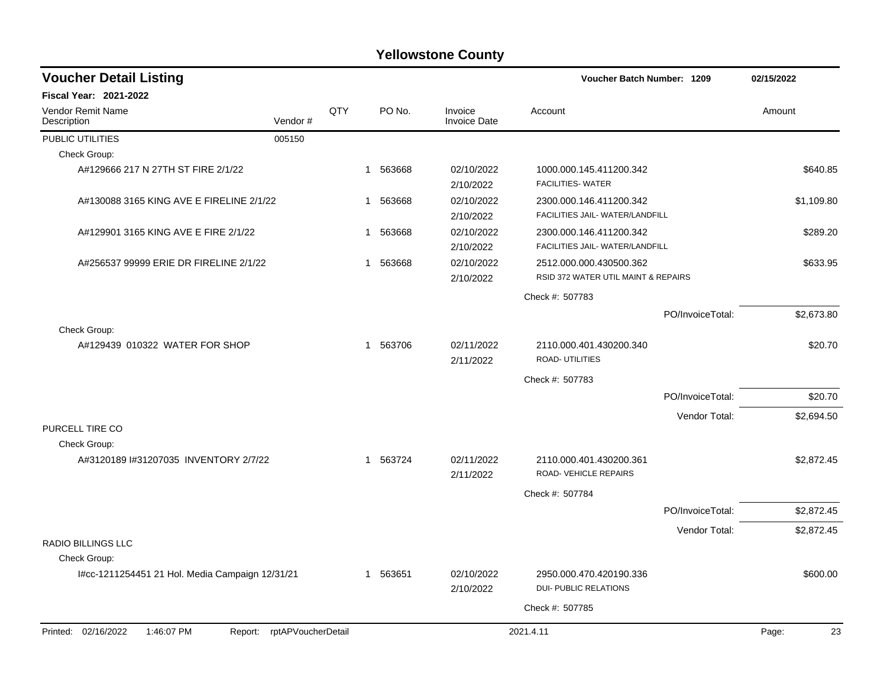| <b>Voucher Detail Listing</b>                   |                    |     |                        |                                | Voucher Batch Number: 1209                                     |                  | 02/15/2022  |  |
|-------------------------------------------------|--------------------|-----|------------------------|--------------------------------|----------------------------------------------------------------|------------------|-------------|--|
| <b>Fiscal Year: 2021-2022</b>                   |                    |     |                        |                                |                                                                |                  |             |  |
| <b>Vendor Remit Name</b><br>Description         | Vendor#            | QTY | PO No.                 | Invoice<br><b>Invoice Date</b> | Account                                                        |                  | Amount      |  |
| PUBLIC UTILITIES                                | 005150             |     |                        |                                |                                                                |                  |             |  |
| Check Group:                                    |                    |     |                        |                                |                                                                |                  |             |  |
| A#129666 217 N 27TH ST FIRE 2/1/22              |                    |     | 1 563668               | 02/10/2022<br>2/10/2022        | 1000.000.145.411200.342<br><b>FACILITIES- WATER</b>            |                  | \$640.85    |  |
| A#130088 3165 KING AVE E FIRELINE 2/1/22        |                    |     | 563668<br>1            | 02/10/2022<br>2/10/2022        | 2300.000.146.411200.342<br>FACILITIES JAIL- WATER/LANDFILL     |                  | \$1,109.80  |  |
| A#129901 3165 KING AVE E FIRE 2/1/22            |                    |     | 563668<br>1            | 02/10/2022<br>2/10/2022        | 2300.000.146.411200.342<br>FACILITIES JAIL- WATER/LANDFILL     |                  | \$289.20    |  |
| A#256537 99999 ERIE DR FIRELINE 2/1/22          |                    |     | 563668<br>$\mathbf{1}$ | 02/10/2022<br>2/10/2022        | 2512.000.000.430500.362<br>RSID 372 WATER UTIL MAINT & REPAIRS |                  | \$633.95    |  |
|                                                 |                    |     |                        |                                | Check #: 507783                                                |                  |             |  |
|                                                 |                    |     |                        |                                |                                                                | PO/InvoiceTotal: | \$2,673.80  |  |
| Check Group:                                    |                    |     |                        |                                |                                                                |                  |             |  |
| A#129439 010322 WATER FOR SHOP                  |                    |     | 1 563706               | 02/11/2022<br>2/11/2022        | 2110.000.401.430200.340<br>ROAD- UTILITIES                     |                  | \$20.70     |  |
|                                                 |                    |     |                        |                                | Check #: 507783                                                |                  |             |  |
|                                                 |                    |     |                        |                                |                                                                | PO/InvoiceTotal: | \$20.70     |  |
|                                                 |                    |     |                        |                                |                                                                | Vendor Total:    | \$2,694.50  |  |
| PURCELL TIRE CO<br>Check Group:                 |                    |     |                        |                                |                                                                |                  |             |  |
| A#3120189 I#31207035 INVENTORY 2/7/22           |                    |     | 1 563724               | 02/11/2022<br>2/11/2022        | 2110.000.401.430200.361<br>ROAD-VEHICLE REPAIRS                |                  | \$2,872.45  |  |
|                                                 |                    |     |                        |                                | Check #: 507784                                                |                  |             |  |
|                                                 |                    |     |                        |                                |                                                                | PO/InvoiceTotal: | \$2,872.45  |  |
|                                                 |                    |     |                        |                                |                                                                | Vendor Total:    | \$2,872.45  |  |
| <b>RADIO BILLINGS LLC</b><br>Check Group:       |                    |     |                        |                                |                                                                |                  |             |  |
| I#cc-1211254451 21 Hol. Media Campaign 12/31/21 |                    |     | 1 563651               | 02/10/2022<br>2/10/2022        | 2950.000.470.420190.336<br><b>DUI- PUBLIC RELATIONS</b>        |                  | \$600.00    |  |
|                                                 |                    |     |                        |                                | Check #: 507785                                                |                  |             |  |
|                                                 |                    |     |                        |                                |                                                                |                  |             |  |
| Printed: 02/16/2022<br>1:46:07 PM<br>Report:    | rptAPVoucherDetail |     |                        |                                | 2021.4.11                                                      |                  | Page:<br>23 |  |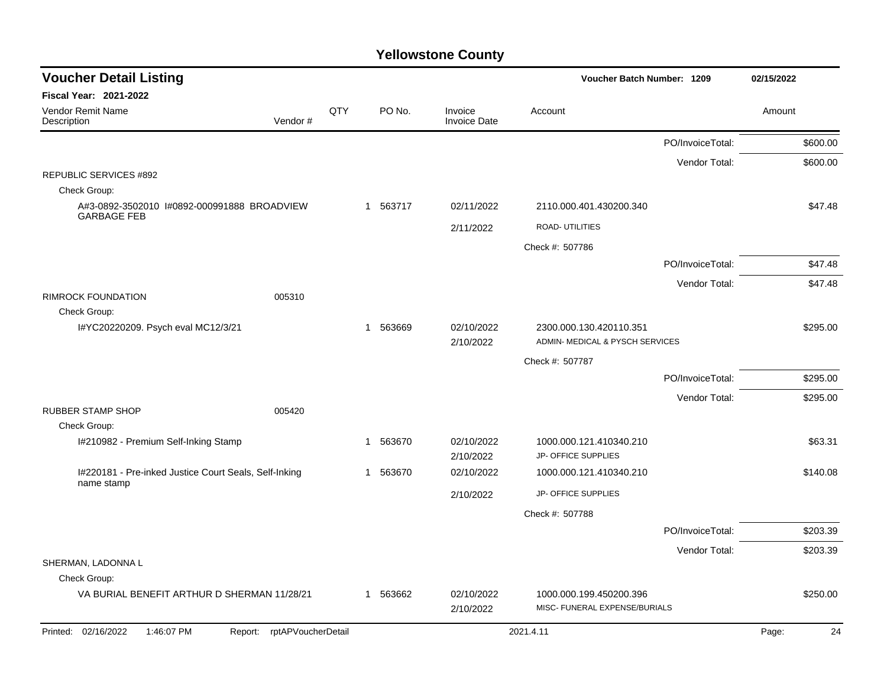| <b>Voucher Detail Listing</b>                                     |                            |     |    |          |                                | Voucher Batch Number: 1209                                 | 02/15/2022       |        |          |
|-------------------------------------------------------------------|----------------------------|-----|----|----------|--------------------------------|------------------------------------------------------------|------------------|--------|----------|
| <b>Fiscal Year: 2021-2022</b>                                     |                            |     |    |          |                                |                                                            |                  |        |          |
| <b>Vendor Remit Name</b><br>Description                           | Vendor#                    | QTY |    | PO No.   | Invoice<br><b>Invoice Date</b> | Account                                                    |                  | Amount |          |
|                                                                   |                            |     |    |          |                                |                                                            | PO/InvoiceTotal: |        | \$600.00 |
|                                                                   |                            |     |    |          |                                |                                                            | Vendor Total:    |        | \$600.00 |
| <b>REPUBLIC SERVICES #892</b><br>Check Group:                     |                            |     |    |          |                                |                                                            |                  |        |          |
| A#3-0892-3502010 I#0892-000991888 BROADVIEW<br><b>GARBAGE FEB</b> |                            |     |    | 1 563717 | 02/11/2022                     | 2110.000.401.430200.340                                    |                  |        | \$47.48  |
|                                                                   |                            |     |    |          | 2/11/2022                      | <b>ROAD- UTILITIES</b>                                     |                  |        |          |
|                                                                   |                            |     |    |          |                                | Check #: 507786                                            |                  |        |          |
|                                                                   |                            |     |    |          |                                |                                                            | PO/InvoiceTotal: |        | \$47.48  |
|                                                                   |                            |     |    |          |                                |                                                            | Vendor Total:    |        | \$47.48  |
| <b>RIMROCK FOUNDATION</b><br>Check Group:                         | 005310                     |     |    |          |                                |                                                            |                  |        |          |
| I#YC20220209. Psych eval MC12/3/21                                |                            |     | -1 | 563669   | 02/10/2022<br>2/10/2022        | 2300.000.130.420110.351<br>ADMIN- MEDICAL & PYSCH SERVICES |                  |        | \$295.00 |
|                                                                   |                            |     |    |          |                                | Check #: 507787                                            |                  |        |          |
|                                                                   |                            |     |    |          |                                |                                                            | PO/InvoiceTotal: |        | \$295.00 |
|                                                                   |                            |     |    |          |                                |                                                            | Vendor Total:    |        | \$295.00 |
| <b>RUBBER STAMP SHOP</b>                                          | 005420                     |     |    |          |                                |                                                            |                  |        |          |
| Check Group:                                                      |                            |     |    |          |                                |                                                            |                  |        |          |
| I#210982 - Premium Self-Inking Stamp                              |                            |     |    | 1 563670 | 02/10/2022<br>2/10/2022        | 1000.000.121.410340.210<br>JP- OFFICE SUPPLIES             |                  |        | \$63.31  |
| I#220181 - Pre-inked Justice Court Seals, Self-Inking             |                            |     | 1  | 563670   | 02/10/2022                     | 1000.000.121.410340.210                                    |                  |        | \$140.08 |
| name stamp                                                        |                            |     |    |          | 2/10/2022                      | JP- OFFICE SUPPLIES                                        |                  |        |          |
|                                                                   |                            |     |    |          |                                | Check #: 507788                                            |                  |        |          |
|                                                                   |                            |     |    |          |                                |                                                            | PO/InvoiceTotal: |        | \$203.39 |
|                                                                   |                            |     |    |          |                                |                                                            | Vendor Total:    |        | \$203.39 |
| SHERMAN, LADONNA L                                                |                            |     |    |          |                                |                                                            |                  |        |          |
| Check Group:                                                      |                            |     |    |          |                                |                                                            |                  |        |          |
| VA BURIAL BENEFIT ARTHUR D SHERMAN 11/28/21                       |                            |     |    | 1 563662 | 02/10/2022<br>2/10/2022        | 1000.000.199.450200.396<br>MISC- FUNERAL EXPENSE/BURIALS   |                  |        | \$250.00 |
| Printed: 02/16/2022<br>1:46:07 PM                                 | Report: rptAPVoucherDetail |     |    |          |                                | 2021.4.11                                                  |                  | Page:  | 24       |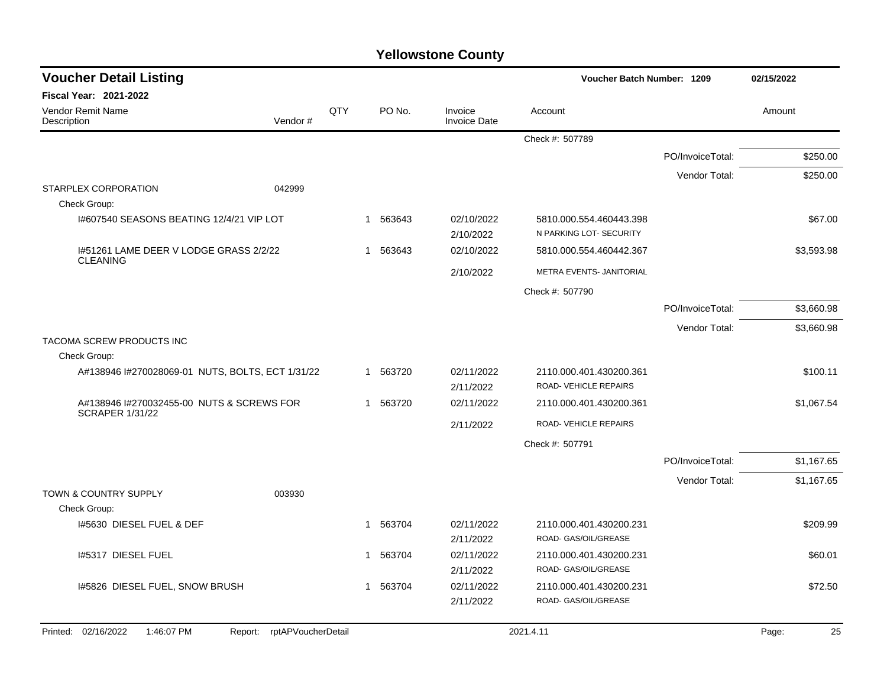| <b>Voucher Detail Listing</b>                                   |             |          |                                | Voucher Batch Number: 1209                         | 02/15/2022       |             |
|-----------------------------------------------------------------|-------------|----------|--------------------------------|----------------------------------------------------|------------------|-------------|
| Fiscal Year: 2021-2022                                          |             |          |                                |                                                    |                  |             |
| Vendor Remit Name<br>Description<br>Vendor#                     | QTY         | PO No.   | Invoice<br><b>Invoice Date</b> | Account                                            |                  | Amount      |
|                                                                 |             |          |                                | Check #: 507789                                    |                  |             |
|                                                                 |             |          |                                |                                                    | PO/InvoiceTotal: | \$250.00    |
|                                                                 |             |          |                                |                                                    | Vendor Total:    | \$250.00    |
| <b>STARPLEX CORPORATION</b><br>042999<br>Check Group:           |             |          |                                |                                                    |                  |             |
| 1#607540 SEASONS BEATING 12/4/21 VIP LOT                        |             | 1 563643 | 02/10/2022<br>2/10/2022        | 5810.000.554.460443.398<br>N PARKING LOT- SECURITY |                  | \$67.00     |
| 1#51261 LAME DEER V LODGE GRASS 2/2/22<br><b>CLEANING</b>       |             | 1 563643 | 02/10/2022                     | 5810.000.554.460442.367                            |                  | \$3,593.98  |
|                                                                 |             |          | 2/10/2022                      | METRA EVENTS- JANITORIAL                           |                  |             |
|                                                                 |             |          |                                | Check #: 507790                                    |                  |             |
|                                                                 |             |          |                                |                                                    | PO/InvoiceTotal: | \$3,660.98  |
|                                                                 |             |          |                                |                                                    | Vendor Total:    | \$3,660.98  |
| TACOMA SCREW PRODUCTS INC                                       |             |          |                                |                                                    |                  |             |
| Check Group:                                                    |             |          |                                |                                                    |                  |             |
| A#138946 I#270028069-01 NUTS, BOLTS, ECT 1/31/22                |             | 1 563720 | 02/11/2022<br>2/11/2022        | 2110.000.401.430200.361<br>ROAD-VEHICLE REPAIRS    |                  | \$100.11    |
| A#138946 #270032455-00 NUTS & SCREWS FOR                        |             | 1 563720 | 02/11/2022                     | 2110.000.401.430200.361                            |                  | \$1,067.54  |
| <b>SCRAPER 1/31/22</b>                                          |             |          | 2/11/2022                      | ROAD-VEHICLE REPAIRS                               |                  |             |
|                                                                 |             |          |                                | Check #: 507791                                    |                  |             |
|                                                                 |             |          |                                |                                                    | PO/InvoiceTotal: | \$1,167.65  |
|                                                                 |             |          |                                |                                                    | Vendor Total:    | \$1,167.65  |
| <b>TOWN &amp; COUNTRY SUPPLY</b><br>003930                      |             |          |                                |                                                    |                  |             |
| Check Group:                                                    |             |          |                                |                                                    |                  |             |
| 1#5630 DIESEL FUEL & DEF                                        |             | 1 563704 | 02/11/2022                     | 2110.000.401.430200.231                            |                  | \$209.99    |
|                                                                 |             |          | 2/11/2022                      | ROAD- GAS/OIL/GREASE                               |                  |             |
| 1#5317 DIESEL FUEL                                              |             | 1 563704 | 02/11/2022<br>2/11/2022        | 2110.000.401.430200.231<br>ROAD- GAS/OIL/GREASE    |                  | \$60.01     |
| I#5826 DIESEL FUEL, SNOW BRUSH                                  | $\mathbf 1$ | 563704   | 02/11/2022                     | 2110.000.401.430200.231                            |                  | \$72.50     |
|                                                                 |             |          | 2/11/2022                      | ROAD- GAS/OIL/GREASE                               |                  |             |
| Printed: 02/16/2022<br>Report: rptAPVoucherDetail<br>1:46:07 PM |             |          |                                | 2021.4.11                                          |                  | 25<br>Page: |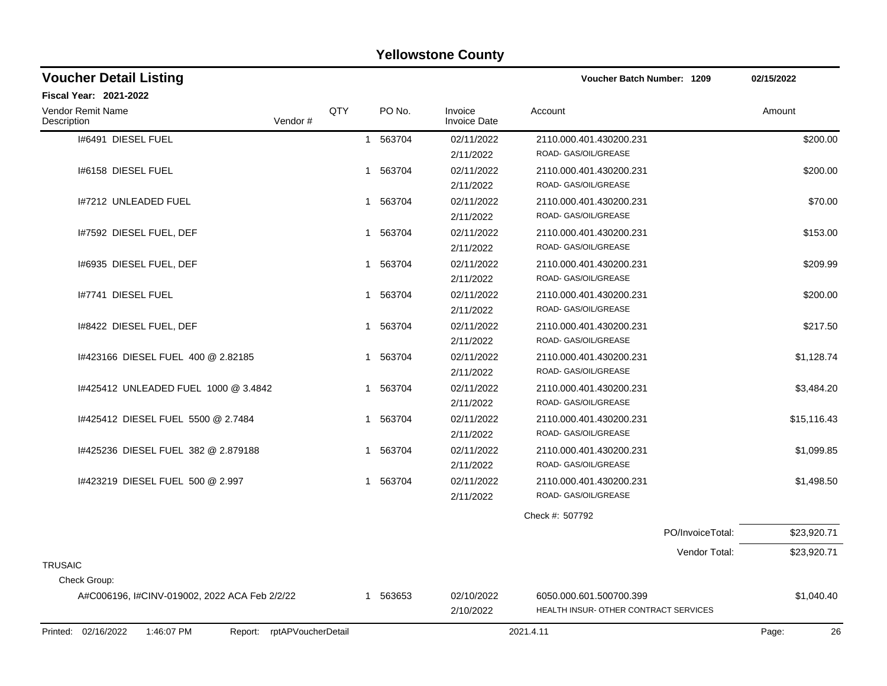| <b>Voucher Detail Listing</b>                 |                    |                       |                                | <b>Voucher Batch Number: 1209</b>     | 02/15/2022  |
|-----------------------------------------------|--------------------|-----------------------|--------------------------------|---------------------------------------|-------------|
| Fiscal Year: 2021-2022                        |                    |                       |                                |                                       |             |
| Vendor Remit Name<br>Description<br>Vendor#   | QTY                | PO No.                | Invoice<br><b>Invoice Date</b> | Account                               | Amount      |
| 1#6491 DIESEL FUEL                            |                    | 1 563704              | 02/11/2022                     | 2110.000.401.430200.231               | \$200.00    |
|                                               |                    |                       | 2/11/2022                      | ROAD- GAS/OIL/GREASE                  |             |
| I#6158 DIESEL FUEL                            |                    | 1 563704              | 02/11/2022                     | 2110.000.401.430200.231               | \$200.00    |
|                                               |                    |                       | 2/11/2022                      | ROAD- GAS/OIL/GREASE                  |             |
| 1#7212 UNLEADED FUEL                          |                    | 1 563704              | 02/11/2022                     | 2110.000.401.430200.231               | \$70.00     |
|                                               |                    |                       | 2/11/2022                      | ROAD- GAS/OIL/GREASE                  |             |
| 1#7592 DIESEL FUEL, DEF                       |                    | 1 563704              | 02/11/2022                     | 2110.000.401.430200.231               | \$153.00    |
|                                               |                    |                       | 2/11/2022                      | ROAD- GAS/OIL/GREASE                  |             |
| 1#6935 DIESEL FUEL, DEF                       |                    | 563704<br>$\mathbf 1$ | 02/11/2022                     | 2110.000.401.430200.231               | \$209.99    |
|                                               |                    |                       | 2/11/2022                      | ROAD- GAS/OIL/GREASE                  |             |
| 1#7741 DIESEL FUEL                            |                    | 1 563704              | 02/11/2022                     | 2110.000.401.430200.231               | \$200.00    |
|                                               |                    |                       | 2/11/2022                      | ROAD- GAS/OIL/GREASE                  |             |
| 1#8422 DIESEL FUEL, DEF                       |                    | 1 563704              | 02/11/2022                     | 2110.000.401.430200.231               | \$217.50    |
|                                               |                    |                       | 2/11/2022                      | ROAD- GAS/OIL/GREASE                  |             |
| 1#423166 DIESEL FUEL 400 @ 2.82185            |                    | 563704<br>1           | 02/11/2022                     | 2110.000.401.430200.231               | \$1,128.74  |
|                                               |                    |                       | 2/11/2022                      | ROAD- GAS/OIL/GREASE                  |             |
| 1#425412 UNLEADED FUEL 1000 @ 3.4842          |                    | 563704<br>1           | 02/11/2022                     | 2110.000.401.430200.231               | \$3,484.20  |
|                                               |                    |                       | 2/11/2022                      | ROAD- GAS/OIL/GREASE                  |             |
| 1#425412 DIESEL FUEL 5500 @ 2.7484            |                    | 563704<br>1           | 02/11/2022                     | 2110.000.401.430200.231               | \$15,116.43 |
|                                               |                    |                       | 2/11/2022                      | ROAD- GAS/OIL/GREASE                  |             |
| 1#425236 DIESEL FUEL 382 @ 2.879188           |                    | 1 563704              | 02/11/2022                     | 2110.000.401.430200.231               | \$1,099.85  |
|                                               |                    |                       | 2/11/2022                      | ROAD- GAS/OIL/GREASE                  |             |
| 1#423219 DIESEL FUEL 500 @ 2.997              |                    | 1 563704              | 02/11/2022                     | 2110.000.401.430200.231               | \$1,498.50  |
|                                               |                    |                       | 2/11/2022                      | ROAD- GAS/OIL/GREASE                  |             |
|                                               |                    |                       |                                | Check #: 507792                       |             |
|                                               |                    |                       |                                | PO/InvoiceTotal:                      | \$23,920.71 |
|                                               |                    |                       |                                | Vendor Total:                         | \$23,920.71 |
| <b>TRUSAIC</b>                                |                    |                       |                                |                                       |             |
| Check Group:                                  |                    |                       |                                |                                       |             |
| A#C006196, I#CINV-019002, 2022 ACA Feb 2/2/22 |                    | 1 563653              | 02/10/2022                     | 6050.000.601.500700.399               | \$1,040.40  |
|                                               |                    |                       | 2/10/2022                      | HEALTH INSUR- OTHER CONTRACT SERVICES |             |
| Printed: 02/16/2022<br>1:46:07 PM<br>Report:  | rptAPVoucherDetail |                       |                                | 2021.4.11                             | 26<br>Page: |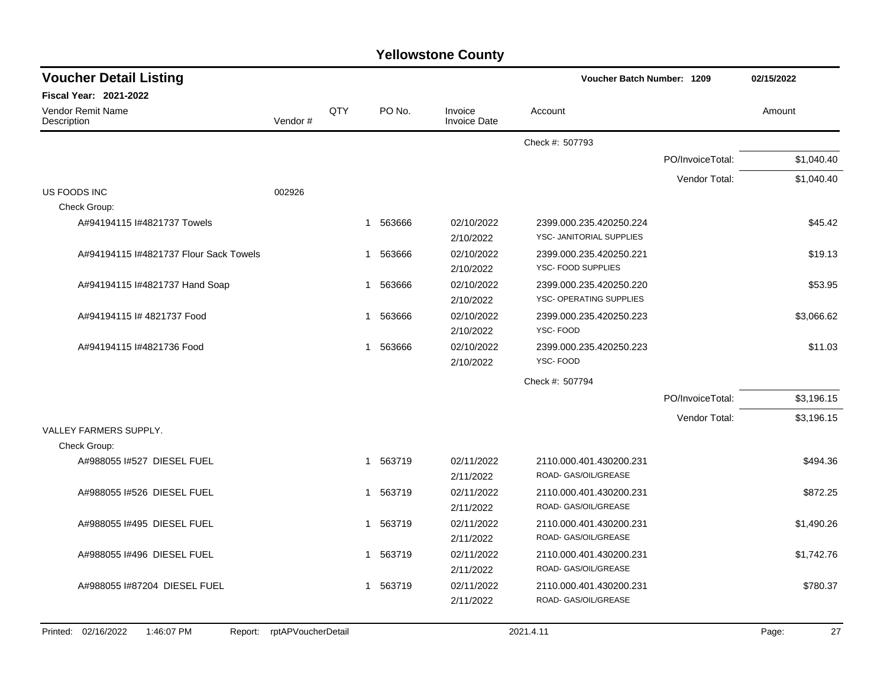| <b>Voucher Detail Listing</b>                |                    |     |             |                                | Voucher Batch Number: 1209 |                  | 02/15/2022  |  |
|----------------------------------------------|--------------------|-----|-------------|--------------------------------|----------------------------|------------------|-------------|--|
| <b>Fiscal Year: 2021-2022</b>                |                    |     |             |                                |                            |                  |             |  |
| Vendor Remit Name<br>Description             | Vendor#            | QTY | PO No.      | Invoice<br><b>Invoice Date</b> | Account                    |                  | Amount      |  |
|                                              |                    |     |             |                                | Check #: 507793            |                  |             |  |
|                                              |                    |     |             |                                |                            | PO/InvoiceTotal: | \$1,040.40  |  |
|                                              |                    |     |             |                                |                            | Vendor Total:    | \$1,040.40  |  |
| US FOODS INC                                 | 002926             |     |             |                                |                            |                  |             |  |
| Check Group:                                 |                    |     |             |                                |                            |                  |             |  |
| A#94194115 I#4821737 Towels                  |                    |     | 563666<br>1 | 02/10/2022                     | 2399.000.235.420250.224    |                  | \$45.42     |  |
|                                              |                    |     |             | 2/10/2022                      | YSC- JANITORIAL SUPPLIES   |                  |             |  |
| A#94194115 I#4821737 Flour Sack Towels       |                    |     | 563666<br>1 | 02/10/2022                     | 2399.000.235.420250.221    |                  | \$19.13     |  |
|                                              |                    |     |             | 2/10/2022                      | YSC- FOOD SUPPLIES         |                  |             |  |
| A#94194115 I#4821737 Hand Soap               |                    |     | 563666<br>1 | 02/10/2022                     | 2399.000.235.420250.220    |                  | \$53.95     |  |
|                                              |                    |     |             | 2/10/2022                      | YSC- OPERATING SUPPLIES    |                  |             |  |
| A#94194115 I# 4821737 Food                   |                    |     | 563666<br>1 | 02/10/2022                     | 2399.000.235.420250.223    |                  | \$3,066.62  |  |
|                                              |                    |     |             | 2/10/2022                      | YSC-FOOD                   |                  |             |  |
| A#94194115 I#4821736 Food                    |                    |     | 563666<br>1 | 02/10/2022                     | 2399.000.235.420250.223    |                  | \$11.03     |  |
|                                              |                    |     |             | 2/10/2022                      | YSC-FOOD                   |                  |             |  |
|                                              |                    |     |             |                                | Check #: 507794            |                  |             |  |
|                                              |                    |     |             |                                |                            | PO/InvoiceTotal: | \$3,196.15  |  |
|                                              |                    |     |             |                                |                            | Vendor Total:    | \$3,196.15  |  |
| VALLEY FARMERS SUPPLY.                       |                    |     |             |                                |                            |                  |             |  |
| Check Group:                                 |                    |     |             |                                |                            |                  |             |  |
| A#988055 I#527 DIESEL FUEL                   |                    |     | 563719      | 02/11/2022                     | 2110.000.401.430200.231    |                  | \$494.36    |  |
|                                              |                    |     |             | 2/11/2022                      | ROAD- GAS/OIL/GREASE       |                  |             |  |
| A#988055 1#526 DIESEL FUEL                   |                    |     | 563719<br>1 | 02/11/2022                     | 2110.000.401.430200.231    |                  | \$872.25    |  |
|                                              |                    |     |             | 2/11/2022                      | ROAD- GAS/OIL/GREASE       |                  |             |  |
| A#988055 I#495 DIESEL FUEL                   |                    |     | 563719<br>1 | 02/11/2022                     | 2110.000.401.430200.231    |                  | \$1,490.26  |  |
|                                              |                    |     |             | 2/11/2022                      | ROAD- GAS/OIL/GREASE       |                  |             |  |
| A#988055 I#496 DIESEL FUEL                   |                    |     | 563719<br>1 | 02/11/2022                     | 2110.000.401.430200.231    |                  | \$1,742.76  |  |
|                                              |                    |     |             | 2/11/2022                      | ROAD- GAS/OIL/GREASE       |                  |             |  |
| A#988055 I#87204 DIESEL FUEL                 |                    |     | 563719<br>1 | 02/11/2022                     | 2110.000.401.430200.231    |                  | \$780.37    |  |
|                                              |                    |     |             | 2/11/2022                      | ROAD- GAS/OIL/GREASE       |                  |             |  |
|                                              |                    |     |             |                                |                            |                  |             |  |
| Printed: 02/16/2022<br>1:46:07 PM<br>Report: | rptAPVoucherDetail |     |             |                                | 2021.4.11                  |                  | 27<br>Page: |  |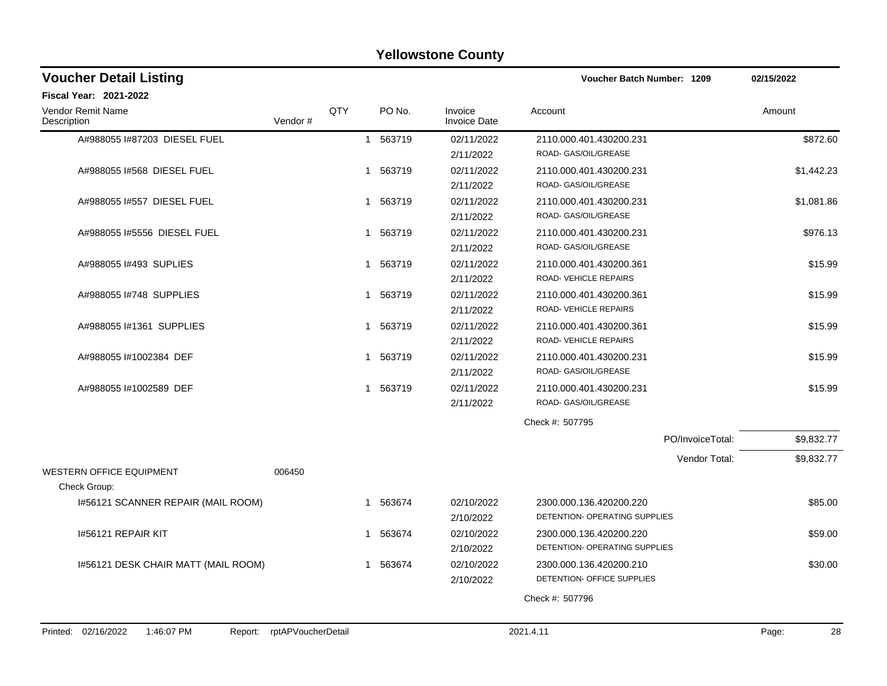| <b>Yellowstone County</b> |  |
|---------------------------|--|
|---------------------------|--|

| <b>Voucher Detail Listing</b>                   |                            |            |              |        |                                | <b>Voucher Batch Number: 1209</b>                        |                  | 02/15/2022  |
|-------------------------------------------------|----------------------------|------------|--------------|--------|--------------------------------|----------------------------------------------------------|------------------|-------------|
| <b>Fiscal Year: 2021-2022</b>                   |                            |            |              |        |                                |                                                          |                  |             |
| <b>Vendor Remit Name</b><br>Description         | Vendor#                    | <b>QTY</b> |              | PO No. | Invoice<br><b>Invoice Date</b> | Account                                                  |                  | Amount      |
| A#988055 I#87203 DIESEL FUEL                    |                            |            | $\mathbf{1}$ | 563719 | 02/11/2022<br>2/11/2022        | 2110.000.401.430200.231<br>ROAD- GAS/OIL/GREASE          |                  | \$872.60    |
| A#988055 I#568 DIESEL FUEL                      |                            |            | -1           | 563719 | 02/11/2022<br>2/11/2022        | 2110.000.401.430200.231<br>ROAD- GAS/OIL/GREASE          |                  | \$1,442.23  |
| A#988055 #557 DIESEL FUEL                       |                            |            | 1            | 563719 | 02/11/2022<br>2/11/2022        | 2110.000.401.430200.231<br>ROAD- GAS/OIL/GREASE          |                  | \$1,081.86  |
| A#988055 I#5556 DIESEL FUEL                     |                            |            | 1            | 563719 | 02/11/2022<br>2/11/2022        | 2110.000.401.430200.231<br>ROAD- GAS/OIL/GREASE          |                  | \$976.13    |
| A#988055 #493 SUPLIES                           |                            |            | -1           | 563719 | 02/11/2022<br>2/11/2022        | 2110.000.401.430200.361<br>ROAD-VEHICLE REPAIRS          |                  | \$15.99     |
| A#988055 #748 SUPPLIES                          |                            |            | 1            | 563719 | 02/11/2022<br>2/11/2022        | 2110.000.401.430200.361<br>ROAD-VEHICLE REPAIRS          |                  | \$15.99     |
| A#988055 #1361 SUPPLIES                         |                            |            | -1           | 563719 | 02/11/2022<br>2/11/2022        | 2110.000.401.430200.361<br>ROAD-VEHICLE REPAIRS          |                  | \$15.99     |
| A#988055 #1002384 DEF                           |                            |            | 1            | 563719 | 02/11/2022<br>2/11/2022        | 2110.000.401.430200.231<br>ROAD- GAS/OIL/GREASE          |                  | \$15.99     |
| A#988055 #1002589 DEF                           |                            |            | $\mathbf 1$  | 563719 | 02/11/2022<br>2/11/2022        | 2110.000.401.430200.231<br>ROAD- GAS/OIL/GREASE          |                  | \$15.99     |
|                                                 |                            |            |              |        |                                | Check #: 507795                                          |                  |             |
|                                                 |                            |            |              |        |                                |                                                          | PO/InvoiceTotal: | \$9,832.77  |
| <b>WESTERN OFFICE EQUIPMENT</b><br>Check Group: | 006450                     |            |              |        |                                |                                                          | Vendor Total:    | \$9,832.77  |
| 1#56121 SCANNER REPAIR (MAIL ROOM)              |                            |            | -1           | 563674 | 02/10/2022<br>2/10/2022        | 2300.000.136.420200.220<br>DETENTION- OPERATING SUPPLIES |                  | \$85.00     |
| 1#56121 REPAIR KIT                              |                            |            | 1            | 563674 | 02/10/2022<br>2/10/2022        | 2300.000.136.420200.220<br>DETENTION- OPERATING SUPPLIES |                  | \$59.00     |
| 1#56121 DESK CHAIR MATT (MAIL ROOM)             |                            |            | $\mathbf{1}$ | 563674 | 02/10/2022<br>2/10/2022        | 2300.000.136.420200.210<br>DETENTION- OFFICE SUPPLIES    |                  | \$30.00     |
|                                                 |                            |            |              |        |                                | Check #: 507796                                          |                  |             |
|                                                 |                            |            |              |        |                                |                                                          |                  |             |
| Printed: 02/16/2022<br>1:46:07 PM               | Report: rptAPVoucherDetail |            |              |        |                                | 2021.4.11                                                |                  | 28<br>Page: |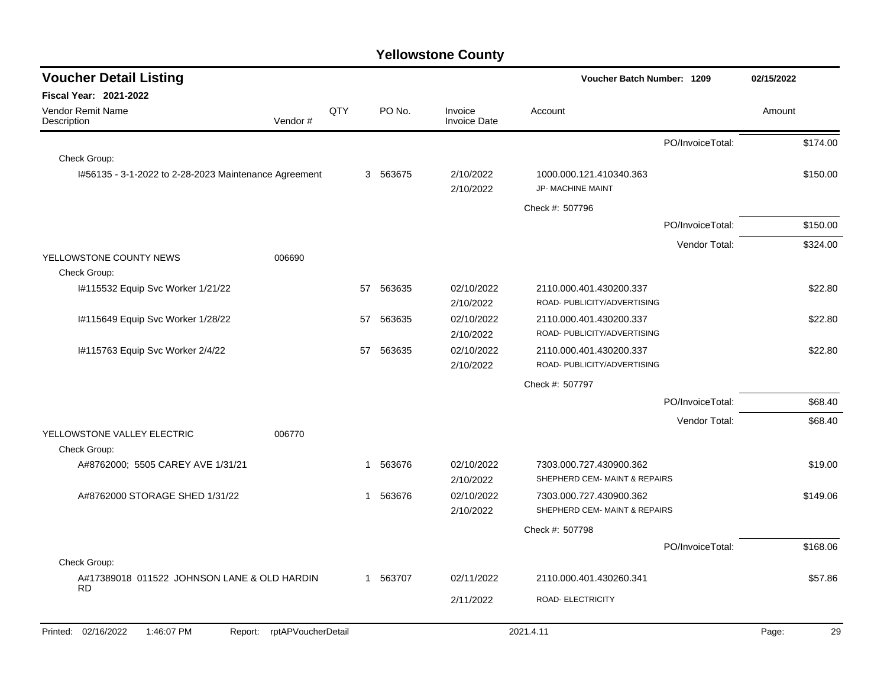| <b>Voucher Detail Listing</b>                            |                    |     |          |                                | Voucher Batch Number: 1209                             | 02/15/2022       |             |
|----------------------------------------------------------|--------------------|-----|----------|--------------------------------|--------------------------------------------------------|------------------|-------------|
| Fiscal Year: 2021-2022                                   |                    |     |          |                                |                                                        |                  |             |
| Vendor Remit Name<br>Description                         | Vendor#            | QTY | PO No.   | Invoice<br><b>Invoice Date</b> | Account                                                |                  | Amount      |
|                                                          |                    |     |          |                                |                                                        | PO/InvoiceTotal: | \$174.00    |
| Check Group:                                             |                    |     |          |                                |                                                        |                  |             |
| I#56135 - 3-1-2022 to 2-28-2023 Maintenance Agreement    |                    |     | 3 563675 | 2/10/2022<br>2/10/2022         | 1000.000.121.410340.363<br>JP- MACHINE MAINT           |                  | \$150.00    |
|                                                          |                    |     |          |                                | Check #: 507796                                        |                  |             |
|                                                          |                    |     |          |                                |                                                        | PO/InvoiceTotal: | \$150.00    |
|                                                          |                    |     |          |                                |                                                        | Vendor Total:    | \$324.00    |
| YELLOWSTONE COUNTY NEWS                                  | 006690             |     |          |                                |                                                        |                  |             |
| Check Group:                                             |                    |     |          |                                |                                                        |                  |             |
| I#115532 Equip Svc Worker 1/21/22                        |                    | 57  | 563635   | 02/10/2022<br>2/10/2022        | 2110.000.401.430200.337<br>ROAD- PUBLICITY/ADVERTISING |                  | \$22.80     |
| I#115649 Equip Svc Worker 1/28/22                        |                    | 57  | 563635   | 02/10/2022<br>2/10/2022        | 2110.000.401.430200.337<br>ROAD- PUBLICITY/ADVERTISING |                  | \$22.80     |
| I#115763 Equip Svc Worker 2/4/22                         |                    | 57  | 563635   | 02/10/2022<br>2/10/2022        | 2110.000.401.430200.337<br>ROAD- PUBLICITY/ADVERTISING |                  | \$22.80     |
|                                                          |                    |     |          |                                | Check #: 507797                                        |                  |             |
|                                                          |                    |     |          |                                |                                                        | PO/InvoiceTotal: | \$68.40     |
|                                                          |                    |     |          |                                |                                                        | Vendor Total:    | \$68.40     |
| YELLOWSTONE VALLEY ELECTRIC                              | 006770             |     |          |                                |                                                        |                  |             |
| Check Group:                                             |                    |     |          |                                |                                                        |                  |             |
| A#8762000; 5505 CAREY AVE 1/31/21                        |                    | 1   | 563676   | 02/10/2022                     | 7303.000.727.430900.362                                |                  | \$19.00     |
|                                                          |                    |     |          | 2/10/2022                      | SHEPHERD CEM- MAINT & REPAIRS                          |                  |             |
| A#8762000 STORAGE SHED 1/31/22                           |                    | 1   | 563676   | 02/10/2022                     | 7303.000.727.430900.362                                |                  | \$149.06    |
|                                                          |                    |     |          | 2/10/2022                      | SHEPHERD CEM- MAINT & REPAIRS                          |                  |             |
|                                                          |                    |     |          |                                | Check #: 507798                                        |                  |             |
|                                                          |                    |     |          |                                |                                                        | PO/InvoiceTotal: | \$168.06    |
| Check Group:                                             |                    |     |          |                                |                                                        |                  |             |
| A#17389018 011522 JOHNSON LANE & OLD HARDIN<br><b>RD</b> |                    | 1   | 563707   | 02/11/2022                     | 2110.000.401.430260.341                                |                  | \$57.86     |
|                                                          |                    |     |          | 2/11/2022                      | ROAD- ELECTRICITY                                      |                  |             |
| Printed: 02/16/2022<br>1:46:07 PM<br>Report:             | rptAPVoucherDetail |     |          |                                | 2021.4.11                                              |                  | 29<br>Page: |